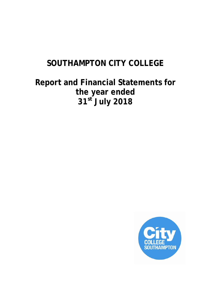# **SOUTHAMPTON CITY COLLEGE**

# **Report and Financial Statements for the year ended 31st July 2018**

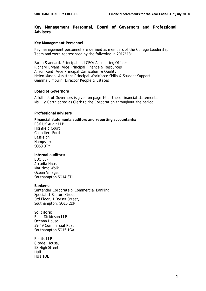# **Key Management Personnel, Board of Governors and Professional Advisers**

### **Key Management Personnel**

Key management personnel are defined as members of the College Leadership Team and were represented by the following in 2017/18:

Sarah Stannard, Principal and CEO; Accounting Officer Richard Bryant, Vice Principal Finance & Resources Alison Kent, Vice Principal Curriculum & Quality Helen Mason, Assistant Principal Workforce Skills & Student Support Gemma Limburn, Director People & Estates

### **Board of Governors**

A full list of Governors is given on page 16 of these financial statements. Ms Lily Garth acted as Clerk to the Corporation throughout the period.

# **Professional advisers**

**Financial statements auditors and reporting accountants:** RSM UK Audit LLP Highfield Court Chandlers Ford Eastleigh Hampshire SO53 3TY

# **Internal auditors:**

BDO LLP Arcadia House, Maritime Walk, Ocean Village, Southampton SO14 3TL

### **Bankers:**

Santander Corporate & Commercial Banking Specialist Sectors Group 3rd Floor, 1 Dorset Street, Southampton, SO15 2DP

**Solicitors:** Bond Dickinson LLP Oceana House 39-49 Commercial Road Southampton SO15 1GA

Rollits LLP Citadel House, 58 High Street, Hull **HU1 10F**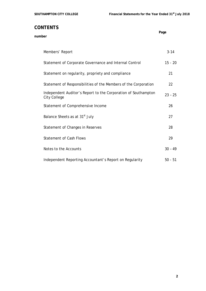**Page** 

# **CONTENTS**

# **number**

| Members' Report                                                                | $3 - 14$  |
|--------------------------------------------------------------------------------|-----------|
| Statement of Corporate Governance and Internal Control                         | $15 - 20$ |
| Statement on regularity, propriety and compliance                              | 21        |
| Statement of Responsibilities of the Members of the Corporation                | 22        |
| Independent Auditor's Report to the Corporation of Southampton<br>City College | $23 - 25$ |
| Statement of Comprehensive Income                                              | 26        |
| Balance Sheets as at 31 <sup>st</sup> July                                     | 27        |
| Statement of Changes in Reserves                                               | 28        |
| <b>Statement of Cash Flows</b>                                                 | 29        |
| Notes to the Accounts                                                          | $30 - 49$ |
| Independent Reporting Accountant's Report on Regularity                        | $50 - 51$ |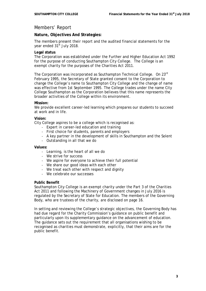# Members' Report

# **Nature, Objectives And Strategies:**

The members present their report and the audited financial statements for the vear ended 31<sup>st</sup> July 2018.

# **Legal status**

The Corporation was established under the Further and Higher Education Act 1992 for the purpose of conducting Southampton City College. The College is an exempt charity for the purposes of the Charities Act 2011.

The Corporation was incorporated as Southampton Technical College. On 23rd February 1995, the Secretary of State granted consent to the Corporation to change the College's name to Southampton City College and the change of name was effective from 1st September 1995. The College trades under the name City College Southampton as the Corporation believes that this name represents the broader activities of the College within its environment.

# **Mission:**

We provide excellent career-led learning which prepares our students to succeed at work and in life.

# **Vision:**

City College aspires to be a college which is recognised as:

- Expert in career-led education and training
- First choice for students, parents and employers
- A key partner in the development of skills in Southampton and the Solent
- Outstanding in all that we do

### **Values:**

- Learning, is the heart of all we do
- We strive for success
- We aspire for everyone to achieve their full potential
- We share our good ideas with each other
- We treat each other with respect and dignity
- We celebrate our successes

### **Public Benefit**

Southampton City College is an exempt charity under the Part 3 of the Charities Act 2011 and following the Machinery of Government changes in July 2016 is regulated by the Secretary of State for Education. The members of the Governing Body, who are trustees of the charity, are disclosed on page 16.

In setting and reviewing the College's strategic objectives, the Governing Body has had due regard for the Charity Commission's guidance on public benefit and particularly upon its supplementary guidance on the advancement of education. The guidance sets out the requirement that all organisations wishing to be recognised as charities must demonstrate, explicitly, that their aims are for the public benefit.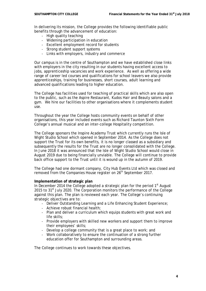In delivering its mission, the College provides the following identifiable public benefits through the advancement of education:

- High quality teaching
- Widening participation in education
- Excellent employment record for students
- Strong student support systems
- Links with employers, industry and commerce

Our campus is in the centre of Southampton and we have established close links with employers in the city resulting in our students having excellent access to jobs, apprenticeship vacancies and work experience. As well as offering a wide range of career led courses and qualifications for school leavers we also provide apprenticeships, training for businesses, short courses, adult learning and advanced qualifications leading to higher education.

The College has facilities used for teaching of practical skills which are also open to the public, such as the Aspire Restaurant, Kudos Hair and Beauty salons and a gym. We hire our facilities to other organisations where it complements student use.

Throughout the year the College hosts community events on behalf of other organisations, this year included events such as Richard Taunton Sixth Form College's annual musical and an inter-college Hospitality competition.

The College sponsors the Inspire Academy Trust which currently runs the Isle of Wight Studio School which opened in September 2014. As the College does not support the Trust for its own benefits, it is no longer classed as a subsidiary and subsequently the results for the Trust are no longer consolidated with the College. In June 2018 it was announced that the Isle of Wight Studio School would close in August 2019 due to being financially unviable. The College will continue to provide back office support to the Trust until it is wound up in the autumn of 2019.

The College had one dormant company, City Hub Events Ltd which was closed and removed from the Companies House register on 26<sup>th</sup> September 2017.

### **Implementation of strategic plan**

In December 2014 the College adopted a strategic plan for the period  $1<sup>st</sup>$  August 2015 to  $31<sup>st</sup>$  July 2020. The Corporation monitors the performance of the College against this plan. The plan is reviewed each year. The College's continuing strategic objectives are to:

- Deliver Outstanding Learning and a Life Enhancing Student Experience;
- Achieve robust financial health;
- Plan and deliver a curriculum which equips students with great work and life skills;
- Provide employers with skilled new workers and support them to improve their employees' skills;
- Develop a college community that is a great place to work; and
- Work collaboratively to ensure the continuation of a strong further education offer for Southampton and surrounding areas.

The College continues to work towards these objectives.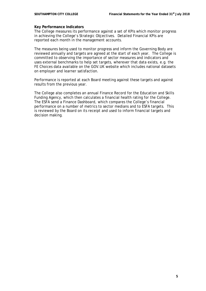# **Key Performance Indicators**

The College measures its performance against a set of KPIs which monitor progress in achieving the College's Strategic Objectives. Detailed Financial KPIs are reported each month in the management accounts.

The measures being used to monitor progress and inform the Governing Body are reviewed annually and targets are agreed at the start of each year. The College is committed to observing the importance of sector measures and indicators and uses external benchmarks to help set targets, wherever that data exists, e.g. the FE Choices data available on the GOV.UK website which includes national datasets on employer and learner satisfaction.

Performance is reported at each Board meeting against these targets and against results from the previous year.

The College also completes an annual Finance Record for the Education and Skills Funding Agency, which then calculates a financial health rating for the College. The ESFA send a Finance Dashboard, which compares the College's financial performance on a number of metrics to sector medians and to ESFA targets. This is reviewed by the Board on its receipt and used to inform financial targets and decision making.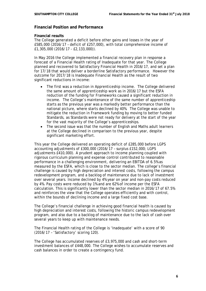# **Financial Position and Performance**

# **Financial results**

The College generated a deficit before other gains and losses in the year of £585,000 (2016/17 – deficit of £257,000), with total comprehensive income of £1,305,000 (2016/17 - £2,133,000)).

In May 2016 the College implemented a financial recovery plan in response a forecast of a Financial Health rating of Inadequate for that year. The College planned and recovered to Satisfactory Financial Health in 2016/17, and set a plan for 17/18 that would deliver a borderline Satisfactory performance. However the outcome for 2017/18 is Inadequate Financial Health as the result of two significant reductions in income:

- The first was a reduction in Apprenticeship income. The College delivered the same amount of apprenticeship work as in 2016/17 but the ESFA reduction of the funding for Frameworks caused a significant reduction in income. The College's maintenance of the same number of apprenticeship starts as the previous year was a markedly better performance than the national picture, where starts declined by 40%. The College was unable to mitigate the reduction in Framework funding by moving to better funded Standards, as Standards were not ready for delivery at the start of the year for the vast majority of the College's apprenticeships.
- The second issue was that the number of English and Maths adult learners at the College declined in comparison to the previous year, despite significant marketing effort.

This year the College delivered an operating deficit of £285,000 before LGPS accounting adjustments of £300,000 (2016/17 – surplus £152,000; LGPS adjustments £410,000). A prudent approach to income planning coupled with rigorous curriculum planning and expense control contributed to reasonable performance in a challenging environment, delivering an EBITDA of 6.5% as measured by the ESFA, which is close to the sector median. The college's financial challenge is caused by high depreciation and interest costs, following the campus redevelopment program, and a backlog of maintenance due to lack of investment over several years. Income declined by 4% year on year and non-pay costs reduced by 4%. Pay costs were reduced by 1% and are 62% of income per the ESFA calculation. This is significantly lower than the sector median in 2016/17 of 67.5% and reinforces the view that the College operates efficiently and with control, within the bounds of declining income and a large fixed cost base.

The College's financial challenge in achieving good financial health is caused by high depreciation and interest costs, following the historic campus redevelopment program, and also due to a backlog of maintenance due to the lack of cash over several years to keep up with maintenance needs.

The Financial Health rating of the College is 'Inadequate' with a score of 90 (2016/17 – 'Satisfactory' scoring 120).

The College has accumulated reserves of £3,975,000 and cash and short-term investment balances of £448,000. The College wishes to accumulate reserves and cash balances in order to create a contingency fund.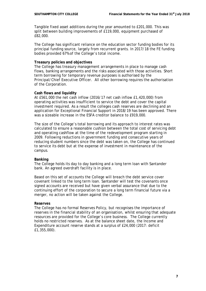Tangible fixed asset additions during the year amounted to £201,000. This was split between building improvements of £119,000, equipment purchased of £82,000.

The College has significant reliance on the education sector funding bodies for its principal funding source, largely from recurrent grants. In 2017/18 the FE funding bodies provided 67% of the College's total income.

### **Treasury policies and objectives**

The College has treasury management arrangements in place to manage cash flows, banking arrangements and the risks associated with those activities. Short term borrowing for temporary revenue purposes is authorised by the Principal/Chief Executive Officer. All other borrowing requires the authorisation of the Corporation.

### **Cash flows and liquidity**

At £561,000 the net cash inflow (2016/17 net cash inflow £1,420,000) from operating activities was insufficient to service the debt and cover the capital investment required. As a result the colleges cash reserves are declining and an application for Exceptional Financial Support in 2018/19 has been approved. There was a sizeable increase in the ESFA creditor balance to £919,000.

The size of the College's total borrowing and its approach to interest rates was calculated to ensure a reasonable cushion between the total cost of servicing debt and operating cashflow at the time of the redevelopment program starting in 2009. Following reductions in government funding and consecutive years of reducing student numbers since the debt was taken on, the College has continued to service its debt but at the expense of investment in maintenance of the campus.

### **Banking**

The College holds its day to day banking and a long term loan with Santander bank. An agreed overdraft facility is in place.

Based on this set of accounts the College will breach the debt service cover covenant linked to the long term loan. Santander will test the covenants once signed accounts are received but have given verbal assurance that due to the continuing effort of the corporation to secure a long term financial future via a merger, no action will be taken against the College.

#### **Reserves**

The College has no formal Reserves Policy, but recognises the importance of reserves in the financial stability of an organisation, whilst ensuring that adequate resources are provided for the College's core business. The College currently holds no restricted reserves. As at the balance sheet date, the Income and Expenditure account reserve stands at a surplus of £24,000 (2017: deficit £1,355,000).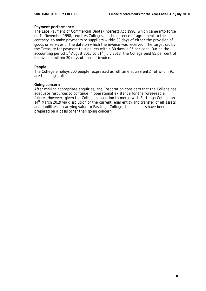# **Payment performance**

The Late Payment of Commercial Debts (Interest) Act 1998, which came into force on 1<sup>st</sup> November 1998, requires Colleges, in the absence of agreement to the contrary, to make payments to suppliers within 30 days of either the provision of goods or services or the date on which the invoice was received. The target set by the Treasury for payment to suppliers within 30 days is 95 per cent. During the accounting period  $1<sup>st</sup>$  August 2017 to  $31<sup>st</sup>$  July 2018, the College paid 85 per cent of its invoices within 30 days of date of invoice.

# **People**

The College employs 200 people (expressed as full time equivalents), of whom 91 are teaching staff.

# **Going concern**

After making appropriate enquiries, the Corporation considers that the College has adequate resources to continue in operational existence for the foreseeable future. However, given the College's intention to merge with Eastleigh College on 14<sup>th</sup> March 2019 via dissolution of the current legal entity and transfer of all assets and liabilities at carrying value to Eastleigh College, the accounts have been prepared on a basis other than going concern.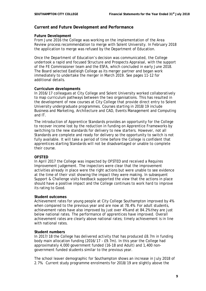# **Current and Future Development and Performance**

# **Future Development**

From June 2016 the College was working on the implementation of the Area Review process recommendation to merge with Solent University. In February 2018 the application to merge was refused by the Department of Education.

Once the Department of Education's decision was communicated, the College undertook a rapid and focused Structure and Prospects Appraisal, with the support of the FE Commissioner team and the ESFA, which concluded in early June 2018. The Board selected Eastleigh College as its merger partner and began work immediately to undertake the merger in March 2019. See pages 11-12 for additional details.

# **Curriculum developments**

In 2016/17 colleagues at City College and Solent University worked collaboratively to map curriculum pathways between the two organisations. This has resulted in the development of new courses at City College that provide direct entry to Solent University undergraduate programmes. Courses starting in 2018/19 include Business and Marketing, Architecture and CAD, Events Management and Computing and IT.

The introduction of Apprentice Standards provides an opportunity for the College to recover income lost by the reduction in funding on Apprentice Frameworks by switching to the new standards for delivery to new starters. However, not all Standards are complete and ready for delivery so the opportunity to switch is not fully available. It will take a period of time before the College is confident that apprentices starting Standards will not be disadvantaged or unable to complete their course.

# **OFSTED**

In April 2017 the College was inspected by OFSTED and received a Requires Improvement judgement. The inspectors were clear that the improvement activities already in place were the right actions but were unable to see evidence at the time of their visit showing the impact they were making. In subsequent Support & Challenge visits feedback supported the view that the actions in place should have a positive impact and the College continues to work hard to improve its rating to Good.

### **Student outcomes**

Achievement rates for young people at City College Southampton improved by 4% when compared to the previous year and are now at 78.4%. For adult students, achievement rates have also improved by just over 4% and at 84.2% they are just below national rates. The performance of apprentices have improved. Overall achievement rates are clearly above national rates; timely achievement is in line with national rates.

### **Student numbers**

In 2017/18 the College has delivered activity that has produced £8.7m in funding body main allocation funding (2016/17 – £9.7m). In this year the College had approximately 4,000 government funded (16-18 and Adult) and 1,400 nongovernment funded students similar to the previous year.

The school leaver demographic for Southampton shows an increase in July 2018 of 2.7%. Current study programme enrolments for 2018/19 are slightly above the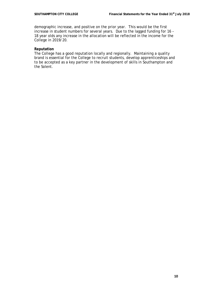demographic increase, and positive on the prior year. This would be the first increase in student numbers for several years. Due to the lagged funding for 16 – 18 year olds any increase in the allocation will be reflected in the income for the College in 2019/20.

# **Reputation**

The College has a good reputation locally and regionally. Maintaining a quality brand is essential for the College to recruit students, develop apprenticeships and to be accepted as a key partner in the development of skills in Southampton and the Solent.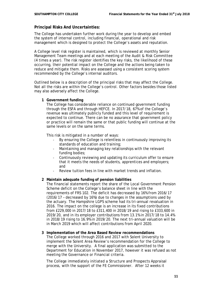# **Principal Risks And Uncertainties:**

The College has undertaken further work during the year to develop and embed the system of internal control, including financial, operational and risk management which is designed to protect the College's assets and reputation.

A College level risk register is maintained, which is reviewed at monthly Senior Management Team meetings and at each meeting of the Audit & Risk Committee (4 times a year). The risk register identifies the key risks, the likelihood of these occurring, their potential impact on the College and the actions being taken to reduce and mitigate them. Risks are assessed using a consistent scoring system recommended by the College's internal auditors.

Outlined below is a description of the principal risks that may affect the College. Not all the risks are within the College's control. Other factors besides those listed may also adversely affect the College.

**1 Government funding**

The College has considerable reliance on continued government funding through the ESFA and through HEFCE. In 2017/18, 67% of the College's revenue was ultimately publicly funded and this level of requirement is expected to continue. There can be no assurance that government policy or practice will remain the same or that public funding will continue at the same levels or on the same terms.

This risk is mitigated in a number of ways:

- By ensuring the College is relentless in continuously improving its standards of education and training;
- Maintaining and managing key relationships with the relevant funding bodies;
- Continuously reviewing and updating its curriculum offer to ensure that it meets the needs of students, apprentices and employers; and
- Review tuition fees in line with market trends and inflation.

# **2 Maintain adequate funding of pension liabilities**

The financial statements report the share of the Local Government Pension Scheme deficit on the College's balance sheet in line with the requirements of FRS 102. The deficit has decreased by 16% from 2016/17 (2016/17 – decreased by 16%) due to changes in the assumptions used by the actuary. The Hampshire LGPS scheme had its tri-annual revaluation in 2016. The impact on the college is an increase in its fixed contributions from £229,000 in 2017/18 to £311,400 in 2018/19 and rising to £333,600 in 2019/20, and in its employer contributions from 13.1% in 2017/18 to 14.4% in 2018/19 rising to 16.9% in 2019/20. The next tri-annual valuation will be in March 2019 which will affect contributions from April 2020.

### **3 Implementation of the Area Based Review recommendations**

The College worked through 2016 and 2017 with Solent University to implement the Solent Area Review's recommendation for the College to merge with the University. A final application was submitted to the Department for Education in November 2017, however it was refused as not meeting the Governance or Financial criteria.

The College immediately initiated a Structure and Prospects Appraisal process, with the support of the FE Commissioner. After 12 weeks it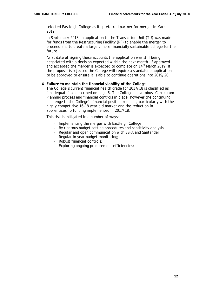selected Eastleigh College as its preferred partner for merger in March 2019.

In September 2018 an application to the Transaction Unit (TU) was made for funds from the Restructuring Facility (RF) to enable the merger to proceed and to create a larger, more financially sustainable college for the future.

As at date of signing these accounts the application was still being negotiated with a decision expected within the next month. If approved and accepted the merger is expected to complete on 14<sup>th</sup> March 2019. If the proposal is rejected the College will require a standalone application to be approved to ensure it is able to continue operations into 2019/20

### **4 Failure to maintain the financial viability of the College**

The College's current financial health grade for 2017/18 is classified as "Inadequate" as described on page 6. The College has a robust Curriculum Planning process and financial controls in place, however the continuing challenge to the College's financial position remains, particularly with the highly competitive 16-18 year old market and the reduction in apprenticeship funding implemented in 2017/18.

This risk is mitigated in a number of ways:

- Implementing the merger with Eastleigh College
- By rigorous budget setting procedures and sensitivity analysis;
- Regular and open communication with ESFA and Santander;
- Regular in year budget monitoring;
- Robust financial controls;
- Exploring ongoing procurement efficiencies;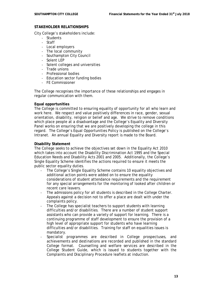# **STAKEHOLDER RELATIONSHIPS**

City College's stakeholders include:

- Students
- Staff
- Local employers
- The local community
- Southampton City Council
- Solent LEP
- Solent colleges and universities
- Trade unions
- Professional bodies
- Education sector funding bodies
- FE Commissioner

The College recognises the importance of these relationships and engages in regular communication with them.

# **Equal opportunities**

The College is committed to ensuring equality of opportunity for all who learn and work here. We respect and value positively differences in race, gender, sexual orientation, disability, religion or belief and age. We strive to remove conditions which place people at a disadvantage and the College's Equality and Diversity Panel works on ensuring that we are positively developing the college in this regard. The College's Equal Opportunities Policy is published on the College's Intranet. An annual Equality and Diversity report is made to the Board.

# **Disability Statement**

The College seeks to achieve the objectives set down in the Equality Act 2010 which takes into account the Disability Discrimination Act 1995 and the Special Education Needs and Disability Acts 2001 and 2005. Additionally, the College's Single Equality Scheme identifies the actions required to ensure it meets the public sector equality duties.

- The College's Single Equality Scheme contains 10 equality objectives and additional action points were added on to ensure the equality considerations of student attendance requirements and the requirement for any special arrangements for the monitoring of looked after children or recent care leavers.
- The admissions policy for all students is described in the College Charter. Appeals against a decision not to offer a place are dealt with under the complaints policy.
- The College has specialist teachers to support students with learning difficulties and/or disabilities. There are a number of student support assistants who can provide a variety of support for learning. There is a continuing programme of staff development to ensure the provision of a high level of appropriate support for students who have learning difficulties and/or disabilities. Training for staff on equalities issues is mandatory.
- Specialist programmes are described in College prospectuses, and achievements and destinations are recorded and published in the standard College format. Counselling and welfare services are described in the College Student Guide, which is issued to students together with the Complaints and Disciplinary Procedure leaflets at induction.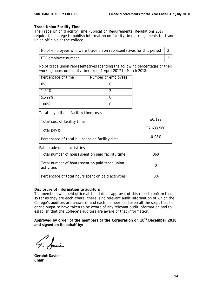# **Trade Union Facility Time**

The Trade Union (Facility Time Publication Requirements) Regulations 2017 require the college to publish information on facility time arrangements for trade union officials at the college.

| No of employees who were trade union representatives for this period $\vert$ 2 |  |
|--------------------------------------------------------------------------------|--|
| FTE employee number                                                            |  |

No of trade union representatives spending the following percentages of their working hours on facility time from 1 April 2017 to March 2018:

| Percentage of time | Number of employees |
|--------------------|---------------------|
| 0%                 |                     |
| 1-50%              |                     |
| 51-99%             |                     |
| 100%               |                     |

*Total pay bill and facility time costs*

| Total cost of facility time                     | £6,192     |
|-------------------------------------------------|------------|
| Total pay bill                                  | £7,633,960 |
| Percentage of total bill spent on facility time | 0.08%      |

*Paid trade union activities*

| Total number of hours spent on paid facility time             | 360 |
|---------------------------------------------------------------|-----|
| Total number of hours spent on paid trade union<br>activities |     |
| Percentage of total hours spent on paid activities            | በ%  |

### **Disclosure of information to auditors**

The members who held office at the date of approval of this report confirm that, so far as they are each aware, there is no relevant audit information of which the College's auditors are unaware; and each member has taken all the steps that he or she ought to have taken to be aware of any relevant audit information and to establish that the College's auditors are aware of that information.

**Approved by order of the members of the Corporation on 10th December 2018 and signed on its behalf by:**

**Geraint Davies Chair**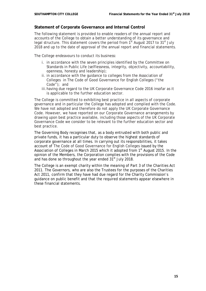# **Statement of Corporate Governance and Internal Control**

The following statement is provided to enable readers of the annual report and accounts of the College to obtain a better understanding of its governance and legal structure. This statement covers the period from  $1<sup>st</sup>$  August 2017 to 31 $<sup>st</sup>$  July</sup> 2018 and up to the date of approval of the annual report and financial statements.

The College endeavours to conduct its business:

- i. in accordance with the seven principles identified by the Committee on Standards in Public Life (selflessness, integrity, objectivity, accountability, openness, honesty and leadership);
- ii. in accordance with the guidance to colleges from the Association of Colleges in The Code of Good Governance for English Colleges ("the Code"); and
- iii.having due regard to the UK Corporate Governance Code 2016 insofar as it is applicable to the further education sector.

The College is committed to exhibiting best practice in all aspects of corporate governance and in particular the College has adopted and complied with the Code. We have not adopted and therefore do not apply the UK Corporate Governance Code. However, we have reported on our Corporate Governance arrangements by drawing upon best practice available, including those aspects of the UK Corporate Governance Code we consider to be relevant to the further education sector and best practice.

The Governing Body recognises that, as a body entrusted with both public and private funds, it has a particular duty to observe the highest standards of corporate governance at all times. In carrying out its responsibilities, it takes account of The Code of Good Governance for English Colleges issued by the Association of Colleges in March 2015 which it adopted from 1<sup>st</sup> August 2015. In the opinion of the Members, the Corporation complies with the provisions of the Code and has done so throughout the year ended  $31<sup>st</sup>$  July 2018.

The College is an exempt charity within the meaning of Part 3 of the Charities Act 2011. The Governors, who are also the Trustees for the purposes of the Charities Act 2011, confirm that they have had due regard for the Charity Commission's guidance on public benefit and that the required statements appear elsewhere in these financial statements.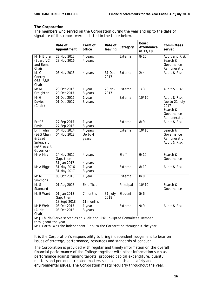# **The Corporation**

The members who served on the Corporation during the year and up to the date of signature of this report were as listed in the table below.

|                                                                                                                                                                                   | Date of<br>Appointment                   | Term of<br>office           | Date of<br>leaving | Category  | <b>Board</b><br>Attendance<br>in 17/18 | Committees<br>served                                                             |
|-----------------------------------------------------------------------------------------------------------------------------------------------------------------------------------|------------------------------------------|-----------------------------|--------------------|-----------|----------------------------------------|----------------------------------------------------------------------------------|
| Mr H Brora<br>(Board VC<br>and Rem.<br>Chair)                                                                                                                                     | 23 Nov 2012<br>23 Nov 2016               | 4 years<br>4 years          |                    | External  | 8/10                                   | <b>Audit and Risk</b><br>Search &<br>Governance<br>Remuneration                  |
| Ms C<br>Conroy<br>OBE (A&R<br>Chair)                                                                                                                                              | 03 Nov 2015                              | 4 years                     | 31 Dec<br>2017     | External  | $\overline{2/4}$                       | Audit & Risk                                                                     |
| Ms M<br>Creighton                                                                                                                                                                 | 20 Oct 2016<br>20 Oct 2017               | 1 year<br>3 years           | 28 Nov<br>2017     | External  | $\overline{1/3}$                       | Audit & Risk                                                                     |
| MrG<br>Davies<br>(Chair)                                                                                                                                                          | 01 Dec 2016<br>01 Dec 2017               | 1 year<br>3 years           |                    | External  | 10/10                                  | Audit & Risk<br>(up to 21 July<br>2017<br>Search &<br>Governance<br>Remuneration |
| Prof F<br>Davis                                                                                                                                                                   | 27 Sep 2017<br>27 Sep 2018               | 1 year<br>3 years           |                    | External  | $\overline{8/9}$                       | Audit & Risk                                                                     |
| Dr J John<br>(S&G Chair<br>& Lead<br>Safeguardi<br>ng/Prevent<br>Governor)                                                                                                        | 04 Nov 2014<br>04 Nov 2018               | 4 years<br>Up to 4<br>years |                    | External  | 10/10                                  | Search &<br>Governance<br>Remuneration<br>Audit & Risk                           |
| Mr A May                                                                                                                                                                          | 24 Nov 2012<br>Gap, then<br>31 Jan 2017  | 4 years<br>4 years          |                    | Staff     | 9/10                                   | Search &<br>Governance                                                           |
| Mr A Riggs                                                                                                                                                                        | 31 May 2016<br>31 May 2017               | 1 year<br>3 years           |                    | External  | 8/10                                   | Audit & Risk                                                                     |
| Mr M<br>Simmons                                                                                                                                                                   | 08 Oct 2018                              | 1 year                      |                    | External  | 0/0                                    |                                                                                  |
| MsS<br>Stannard                                                                                                                                                                   | 01 Aug 2013                              | Ex-officio                  |                    | Principal | 10/10                                  | Search &<br>Governance                                                           |
| Ms B Ward                                                                                                                                                                         | 01 Jan 2018<br>Gap, then<br>13 Sept 2018 | 7 months<br>11 months       | $31$ July<br>2018  | Student   | 5/6                                    |                                                                                  |
| Mr P Weir<br>(Audit<br>Chair)                                                                                                                                                     | 03 Oct 2017<br>03 Oct 2018               | 1 year<br>3 years           |                    | External  | $\overline{9/9}$                       | Audit & Risk                                                                     |
| Mr J Childs-Clarke served as an Audit and Risk Co-Opted Committee Member<br>throughout the year.<br>Ms L Garth, was the independent Clerk to the Corporation throughout the year. |                                          |                             |                    |           |                                        |                                                                                  |

It is the Corporation's responsibility to bring independent judgement to bear on issues of strategy, performance, resources and standards of conduct.

The Corporation is provided with regular and timely information on the overall financial performance of the College together with other information such as performance against funding targets, proposed capital expenditure, quality matters and personnel-related matters such as health and safety and environmental issues. The Corporation meets regularly throughout the year.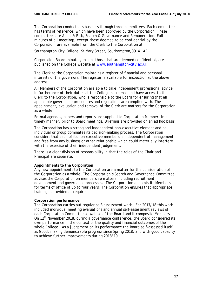The Corporation conducts its business through three committees. Each committee has terms of reference, which have been approved by the Corporation. These committees are Audit & Risk, Search & Governance and Remuneration. Full minutes of all meetings, except those deemed to be confidential by the Corporation, are available from the Clerk to the Corporation at:

Southampton City College, St Mary Street, Southampton,SO14 1AR

Corporation Board minutes, except those that are deemed confidential, are published on the College website at [www.southampton-city.ac.uk](http://www.southampton-city.ac.uk/)

The Clerk to the Corporation maintains a register of financial and personal interests of the governors. The register is available for inspection at the above address.

All Members of the Corporation are able to take independent professional advice in furtherance of their duties at the College's expense and have access to the Clerk to the Corporation, who is responsible to the Board for ensuring that all applicable governance procedures and regulations are complied with. The appointment, evaluation and removal of the Clerk are matters for the Corporation as a whole.

Formal agendas, papers and reports are supplied to Corporation Members in a timely manner, prior to Board meetings. Briefings are provided on an ad hoc basis.

The Corporation has a strong and independent non-executive element and no individual or group dominates its decision-making process. The Corporation considers that each of its non-executive members is independent of management and free from any business or other relationship which could materially interfere with the exercise of their independent judgement.

There is a clear division of responsibility in that the roles of the Chair and Principal are separate.

### **Appointments to the Corporation**

Any new appointments to the Corporation are a matter for the consideration of the Corporation as a whole. The Corporation's Search and Governance Committee advises the Corporation on membership matters including recruitment, development and governance processes. The Corporation appoints its Members for terms of office of up to four years. The Corporation ensures that appropriate training is provided as required.

### **Corporation performance**

The Corporation carries out regular self-assessment work. For 2017/18 this work included individual meeting evaluations and annual self-assessment reviews of each Corporation Committee as well as of the Board and it composite Members. On 12th November 2018, during a governance conference, the Board considered its own performance in the context of the quality and financial outcomes of the whole College. As a judgement on its performance the Board self-assessed itself as Good, making demonstrable progress since Spring 2018, and with good capacity to achieve further improvements during 2018/19.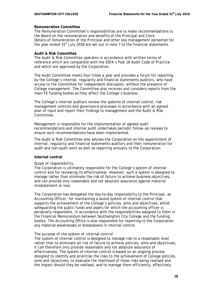# **Remuneration Committee**

The Remuneration Committee's responsibilities are to make recommendations to the Board on the remuneration and benefits of the Principal and Clerk. Details of remuneration of the Principal and other key management personnel for the year ended  $31<sup>st</sup>$  July 2018 are set out in note 7 to the financial statements.

### **Audit & Risk Committee**

The Audit & Risk Committee operates in accordance with written terms of reference which are compatible with the ESFA's Post 16 Audit Code of Practice and which are approved by the Corporation.

The Audit Committee meets four times a year and provides a forum for reporting by the College's internal, regularity and financial statements auditors, who have access to the Committee for independent discussion, without the presence of College management. The Committee also receives and considers reports from the main FE funding bodies as they affect the College's business.

The College's internal auditors review the systems of internal control, risk management controls and governance processes in accordance with an agreed plan of input and report their findings to management and the Audit & Risk Committee.

Management is responsible for the implementation of agreed audit recommendations and internal audit undertakes periodic follow-up reviews to ensure such recommendations have been implemented.

The Audit & Risk Committee also advises the Corporation on the appointment of internal, regularity and financial statements auditors and their remuneration for audit and non-audit work as well as reporting annually to the Corporation.

# **Internal control**

### *Scope of responsibility*

The Corporation is ultimately responsible for the College's system of internal control and for reviewing its effectiveness. However, such a system is designed to manage rather than eliminate the risk of failure to achieve business objectives, and can provide only reasonable and not absolute assurance against material misstatement or loss.

The Corporation has delegated the day-to-day responsibility to the Principal, as Accounting Officer, for maintaining a sound system of internal control that supports the achievement of the College's policies, aims and objectives, whilst safeguarding the public funds and assets for which the accounting officer is personally responsible, in accordance with the responsibilities assigned to them in the Financial Memorandum between Southampton City College and the funding bodies. The Accounting Office is also responsible for reporting to the Corporation any material weaknesses or breakdowns in internal control.

### *The purpose of the system of internal control*

The system of internal control is designed to manage risk to a reasonable level rather than to eliminate all risk of failure to achieve policies, aims and objectives; it can therefore only provide reasonable and not absolute assurance of effectiveness. The system of internal control is based on an ongoing process designed to identify and prioritise the risks to the achievement of College policies, aims and objectives, to evaluate the likelihood of those risks being realised and the impact should they be realised, and to manage them efficiently, effectively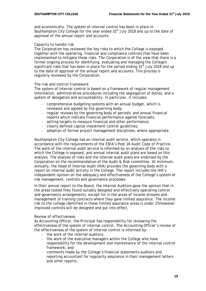and economically. The system of internal control has been in place in Southampton City College for the year ended  $31<sup>st</sup>$  July 2018 and up to the date of approval of the annual report and accounts.

# *Capacity to handle risk*

The Corporation has reviewed the key risks to which the College is exposed together with the operating, financial and compliance controls that have been implemented to mitigate those risks. The Corporation is of the view that there is a formal ongoing process for identifying, evaluating and managing the College's significant risks that has been in place for the period ending  $31<sup>st</sup>$  July 2018 and up to the date of approval of the annual report and accounts. This process is regularly reviewed by the Corporation.

# *The risk and control framework*

The system of internal control is based on a framework of regular management information, administrative procedures including the segregation of duties, and a system of delegation and accountability. In particular, it includes:

- comprehensive budgeting systems with an annual budget, which is reviewed and agreed by the governing body;
- regular reviews by the governing body of periodic and annual financial reports which indicate financial performance against forecasts;
- setting targets to measure financial and other performance;
- clearly defined capital investment control guidelines;
- adoption of formal project management disciplines, where appropriate.

Southampton City College has an internal audit service, which operates in accordance with the requirements of the ESFA's *Post 16 Audit Code of Practice*. The work of the internal audit service is informed by an analysis of the risks to which the College is exposed, and annual internal audit plans are based on this analysis. The analysis of risks and the internal audit plans are endorsed by the Corporation on the recommendation of the Audit & Risk committee. At minimum, annually, the Head of Internal Audit (HIA) provides the governing body with a report on internal audit activity in the College. The report includes the HIA's independent opinion on the adequacy and effectiveness of the College's system of risk management, controls and governance processes.

In their annual report to the Board, the Internal Auditors gave the opinion that in the areas tested they found suitably designed and effectively operating control and governance arrangements, except for in the areas of income streams and management of training contracts where they gave limited assurance. The income risk to the college identified in these limited assurance areas is under 1% however improved controls will be designed and put into effect.

### *Review of effectiveness*

As Accounting Officer, the Principal has responsibility for reviewing the effectiveness of the system of internal control. The Accounting Officer's review of the effectiveness of the system of internal control is informed by:

- the work of the internal auditors;
- the work of the executive managers within the College who have responsibility for the development and maintenance of the internal control framework; and
- comments made by the College's financial statements auditors and reporting accountant for regularity assurance in their management letters and other reports.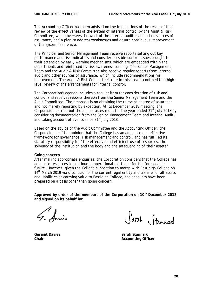The Accounting Officer has been advised on the implications of the result of their review of the effectiveness of the system of internal control by the Audit & Risk Committee, which oversees the work of the internal auditor and other sources of assurance, and a plan to address weaknesses and ensure continuous improvement of the system is in place.

The Principal and Senior Management Team receive reports setting out key performance and risk indicators and consider possible control issues brought to their attention by early warning mechanisms, which are embedded within the departments and reinforced by risk awareness training. The Senior Management Team and the Audit & Risk Committee also receive regular reports from internal audit and other sources of assurance, which include recommendations for improvement. The Audit & Risk Committee's role in this area is confined to a highlevel review of the arrangements for internal control.

The Corporation's agenda includes a regular item for consideration of risk and control and receives reports thereon from the Senior Management Team and the Audit Committee. The emphasis is on obtaining the relevant degree of assurance and not merely reporting by exception. At its December 2018 meeting, the Corporation carried out the annual assessment for the year ended  $31<sup>st</sup>$  July 2018 by considering documentation from the Senior Management Team and Internal Audit, and taking account of events since 31<sup>st</sup> July 2018.

Based on the advice of the Audit Committee and the Accounting Officer, the Corporation is of the opinion that the College has an adequate and effective framework for governance, risk management and control, and has fulfilled its statutory responsibility for "*the effective and efficient use of resources, the solvency of the institution and the body and the safeguarding of their assets*".

### **Going concern**

After making appropriate enquiries, the Corporation considers that the College has adequate resources to continue in operational existence for the foreseeable future. However, given the College's intention to merge with Eastleigh College on 14<sup>th</sup> March 2019 via dissolution of the current legal entity and transfer of all assets and liabilities at carrying value to Eastleigh College, the accounts have been prepared on a basis other than going concern.

**Approved by order of the members of the Corporation on 10th December 2018 and signed on its behalf by:**

Sarah Stannard

**Geraint Davies Sarah Stannard Chair Chair Accounting Officer**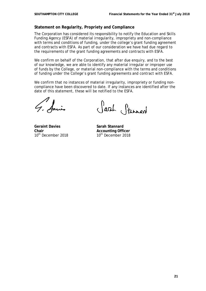# **Statement on Regularity, Propriety and Compliance**

The Corporation has considered its responsibility to notify the Education and Skills Funding Agency (ESFA) of material irregularity, impropriety and non-compliance with terms and conditions of funding, under the college's grant funding agreement and contracts with ESFA. As part of our consideration we have had due regard to the requirements of the grant funding agreements and contracts with ESFA.

We confirm on behalf of the Corporation, that after due enquiry, and to the best of our knowledge, we are able to identify any material irregular or improper use of funds by the College, or material non-compliance with the terms and conditions of funding under the College's grant funding agreements and contract with ESFA.

We confirm that no instances of material irregularity, impropriety or funding noncompliance have been discovered to date. If any instances are identified after the date of this statement, these will be notified to the ESFA.

**Geraint Davies Sarah Stannard**  $10<sup>th</sup>$  December 2018

Sarah Stannard

**Chair Chair Accounting Officer**<br> **Accounting Officer**<br> **Accounting Officer**<br> **Accounting Officer**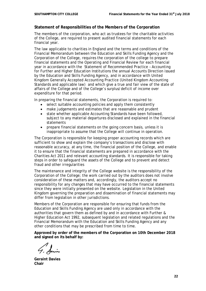# **Statement of Responsibilities of the Members of the Corporation**

The members of the corporation, who act as trustees for the charitable activities of the College, are required to present audited financial statements for each financial year.

The law applicable to charities in England and the terms and conditions of the Financial Memorandum between the Education and Skills Funding Agency and the Corporation of the College, requires the corporation of the college to prepare financial statements and the Operating and Financial Review for each financial year in accordance with the Statement of Recommended Practice – Accounting for Further and Higher Education Institutions the annual Accounts Direction issued by the Education and Skills Funding Agency, and in accordance with United Kingdom Generally Accepted Accounting Practice (United Kingdom Accounting Standards and applicable law) and which give a true and fair view of the state of affairs of the College and of the College's surplus/deficit of income over expenditure for that period.

In preparing the financial statements, the Corporation is required to:

- select suitable accounting policies and apply them consistently
- make judgements and estimates that are reasonable and prudent
- state whether applicable Accounting Standards have been followed, subject to any material departures disclosed and explained in the financial statements
- prepare financial statements on the going concern basis, unless it is inappropriate to assume that the College will continue in operation.

The Corporation is responsible for keeping proper accounting records which are sufficient to show and explain the company's transactions and disclose with reasonable accuracy, at any time, the financial position of the College, and enable it to ensure that the financial statements are prepared in accordance with the Charities Act 2011 and relevant accounting standards. It is responsible for taking steps in order to safeguard the assets of the College and to prevent and detect fraud and other irregularities

The maintenance and integrity of the College website is the responsibility of the Corporation of the College; the work carried out by the auditors does not involve consideration of these matters and, accordingly, the auditors accept no responsibility for any changes that may have occurred to the financial statements since they were initially presented on the website. Legislation in the United Kingdom governing the preparation and dissemination of financial statements may differ from legislation in other jurisdictions.

Members of the Corporation are responsible for ensuring that funds from the Education and Skills Funding Agency are used only in accordance with the authorities that govern them as defined by and in accordance with Further & Higher Education Act 1992, subsequent legislation and related regulations and the Financial Memorandum with the Education and Skills Funding Agency and any other conditions that may be prescribed from time to time.

**Approved by order of the members of the Corporation on 10th December 2018 and signed on its behalf by:**

**Geraint Davies Chair**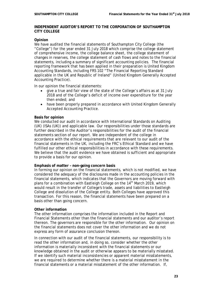# **INDEPENDENT AUDITOR'S REPORT TO THE CORPORATION OF SOUTHAMPTON CITY COLLEGE**

### **Opinion**

We have audited the financial statements of Southampton City College (the "College") for the year ended 31 July 2018 which comprise the college statement of comprehensive income, the college balance sheet, the college statement of changes in reserves, the college statement of cash flows and notes to the financial statements, including a summary of significant accounting policies. The financial reporting framework that has been applied in their preparation is United Kingdom Accounting Standards, including FRS 102 "The Financial Reporting Standard applicable in the UK and Republic of Ireland" (United Kingdom Generally Accepted Accounting Practice).

In our opinion the financial statements:

- give a true and fair view of the state of the College's affairs as at 31 July 2018 and of the College's deficit of income over expenditure for the year then ended; and
- have been properly prepared in accordance with United Kingdom Generally Accepted Accounting Practice.

### **Basis for opinion**

We conducted our audit in accordance with International Standards on Auditing (UK) (ISAs (UK)) and applicable law. Our responsibilities under those standards are further described in the Auditor's responsibilities for the audit of the financial statements section of our report. We are independent of the college in accordance with the ethical requirements that are relevant to our audit of the financial statements in the UK, including the FRC's Ethical Standard and we have fulfilled our other ethical responsibilities in accordance with these requirements. We believe that the audit evidence we have obtained is sufficient and appropriate to provide a basis for our opinion.

#### **Emphasis of matter – non-going concern basis**

In forming our opinion on the financial statements, which is not modified, we have considered the adequacy of the disclosures made in the accounting policies in the financial statements, which indicates that the Governors are moving forward with plans for a combination with Eastleigh College on the 14<sup>th</sup> March 2019, which would result in the transfer of College's trade, assets and liabilities to Eastleigh College and dissolution of the College entity. Both Colleges have approved this transaction. For this reason, the financial statements have been prepared on a basis other than going concern.

### **Other information**

The other information comprises the information included in the Report and Financial Statements other than the financial statements and our auditor's report thereon. The governors are responsible for the other information. Our opinion on the financial statements does not cover the other information and we do not express any form of assurance conclusion thereon.

In connection with our audit of the financial statements, our responsibility is to read the other information and, in doing so, consider whether the other information is materially inconsistent with the financial statements or our knowledge obtained in the audit or otherwise appears to be materially misstated. If we identify such material inconsistencies or apparent material misstatements, we are required to determine whether there is a material misstatement in the financial statements or a material misstatement of the other information. If,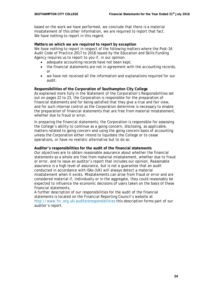based on the work we have performed, we conclude that there is a material misstatement of this other information, we are required to report that fact. We have nothing to report in this regard.

### **Matters on which we are required to report by exception**

We have nothing to report in respect of the following matters where the Post-16 Audit Code of Practice 2017 to 2018 issued by the Education and Skills Funding Agency requires us to report to you if, in our opinion:

- adequate accounting records have not been kept;
- the financial statements are not in agreement with the accounting records: or
- we have not received all the information and explanations required for our audit.

# **Responsibilities of the Corporation of Southampton City College**

As explained more fully in the Statement of the Corporation's Responsibilities set out on pages 22 to 23, the Corporation is responsible for the preparation of financial statements and for being satisfied that they give a true and fair view, and for such internal control as the Corporation determine is necessary to enable the preparation of financial statements that are free from material misstatement, whether due to fraud or error.

In preparing the financial statements, the Corporation is responsible for assessing the College's ability to continue as a going concern, disclosing, as applicable, matters related to going concern and using the going concern basis of accounting unless the Corporation either intend to liquidate the College or to cease operations, or have no realistic alternative but to do so.

### **Auditor's responsibilities for the audit of the financial statements**

Our objectives are to obtain reasonable assurance about whether the financial statements as a whole are free from material misstatement, whether due to fraud or error, and to issue an auditor's report that includes our opinion. Reasonable assurance is a high level of assurance, but is not a guarantee that an audit conducted in accordance with ISAs (UK) will always detect a material misstatement when it exists. Misstatements can arise from fraud or error and are considered material if, individually or in the aggregate, they could reasonably be expected to influence the economic decisions of users taken on the basis of these financial statements.

A further description of our responsibilities for the audit of the financial statements is located on the Financial Reporting Council's website at <http://www.frc.org.uk/auditorsresponsibilities> this description forms part of our auditor's report.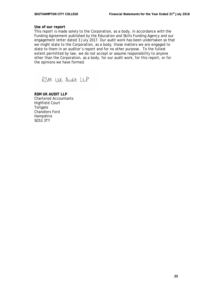# **Use of our report**

This report is made solely to the Corporation, as a body, in accordance with the Funding Agreement published by the Education and Skills Funding Agency and our engagement letter dated 3 July 2017. Our audit work has been undertaken so that we might state to the Corporation, as a body, those matters we are engaged to state to them in an auditor's report and for no other purpose. To the fullest extent permitted by law, we do not accept or assume responsibility to anyone other than the Corporation, as a body, for our audit work, for this report, or for the opinions we have formed.

RSM UK Audit LLP

**RSM UK AUDIT LLP** Chartered Accountants Highfield Court **Tollgate** Chandlers Ford **Hampshire** SO53 3TY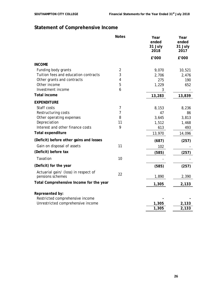# **Statement of Comprehensive Income**

|                                                                      | <b>Notes</b>   | Year<br>ended<br>31 July<br>2018 | Year<br>ended<br>31 July<br>2017 |
|----------------------------------------------------------------------|----------------|----------------------------------|----------------------------------|
|                                                                      |                | £'000                            | £'000                            |
| <b>INCOME</b>                                                        |                |                                  |                                  |
| Funding body grants                                                  | $\overline{2}$ | 9,070                            | 10,521                           |
| Tuition fees and education contracts                                 | 3              | 2,706                            | 2,476                            |
| Other grants and contracts                                           | 4              | 275                              | 190                              |
| Other income                                                         | 5              | 1,229                            | 652                              |
| Investment income                                                    | 6              | 3                                |                                  |
| <b>Total income</b>                                                  |                | 13,283                           | 13,839                           |
| <b>EXPENDITURE</b>                                                   |                |                                  |                                  |
| Staff costs                                                          | $\overline{7}$ | 8,153                            | 8,236                            |
| Restructuring costs                                                  | 7              | 47                               | 86                               |
| Other operating expenses                                             | 8              | 3,645                            | 3,813                            |
| Depreciation                                                         | 11             | 1,512                            | 1,468                            |
| Interest and other finance costs                                     | 9              | 613                              | 493                              |
| <b>Total expenditure</b>                                             |                | 13,970                           | 14,096                           |
| (Deficit) before other gains and losses                              |                | (687)                            | (257)                            |
| Gain on disposal of assets                                           | 11             | 102                              |                                  |
| (Deficit) before tax                                                 |                | (585)                            | (257)                            |
| Taxation                                                             | 10             |                                  |                                  |
| (Deficit) for the year                                               |                | (585)                            | (257)                            |
| Actuarial gain/ (loss) in respect of<br>pensions schemes             | 22             | 1,890                            | 2,390                            |
| Total Comprehensive Income for the year                              |                | 1,305                            | 2,133                            |
|                                                                      |                |                                  |                                  |
| Represented by:                                                      |                |                                  |                                  |
| Restricted comprehensive income<br>Unrestricted comprehensive income |                | 1,305                            |                                  |
|                                                                      |                | 1,305                            | 2,133<br>2,133                   |
|                                                                      |                |                                  |                                  |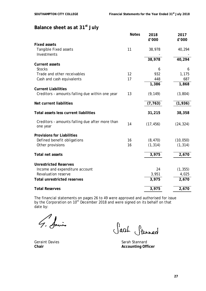# **Balance sheet as at 31st July**

|                                                              | <b>Notes</b> | 2018      | 2017      |
|--------------------------------------------------------------|--------------|-----------|-----------|
|                                                              |              | £'000     | £'000     |
| <b>Fixed assets</b>                                          |              |           |           |
| <b>Tangible Fixed assets</b>                                 | 11           | 38,978    | 40,294    |
| Investments                                                  |              |           |           |
|                                                              |              | 38,978    | 40,294    |
| <b>Current assets</b>                                        |              |           |           |
| <b>Stocks</b>                                                |              | 6         | 6         |
| Trade and other receivables                                  | 12           | 932       | 1,175     |
| Cash and cash equivalents                                    | 17           | 448       | 687       |
|                                                              |              | 1,386     | 1,868     |
| <b>Current Liabilities</b>                                   |              |           |           |
| Creditors - amounts falling due within one year              | 13           | (9, 149)  | (3,804)   |
|                                                              |              |           |           |
| Net current liabilities                                      |              | (7, 763)  | (1,936)   |
|                                                              |              |           |           |
| Total assets less current liabilities                        |              | 31,215    | 38,358    |
|                                                              |              |           |           |
| Creditors - amounts falling due after more than              | 14           | (17, 456) | (24, 324) |
| one year                                                     |              |           |           |
|                                                              |              |           |           |
| <b>Provisions for Liabilities</b>                            |              |           |           |
| Defined benefit obligations                                  | 16           | (8, 470)  | (10, 050) |
| Other provisions                                             | 16           | (1, 314)  | (1, 314)  |
|                                                              |              |           |           |
| Total net assets                                             |              | 3,975     | 2,670     |
| <b>Unrestricted Reserves</b>                                 |              |           |           |
|                                                              |              | 24        |           |
| Income and expenditure account<br><b>Revaluation reserve</b> |              |           | (1, 355)  |
|                                                              |              | 3,951     | 4,025     |
| <b>Total unrestricted reserves</b>                           |              | 3,975     | 2,670     |
|                                                              |              |           |           |
| <b>Total Reserves</b>                                        |              | 3,975     | 2,670     |

The financial statements on pages 26 to 49 were approved and authorised for issue by the Corporation on 10<sup>th</sup> December 2018 and were signed on its behalf on that date by:

Anis

Sarah Stannard

Geraint Davies Sarah Stannard **Chair Chair Accounting Officer**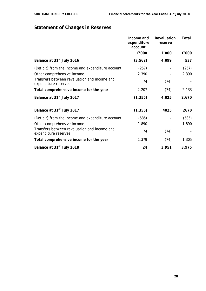# **Statement of Changes in Reserves**

|                                                                      | Income and<br>expenditure<br>account | Revaluation<br>reserve | Total |
|----------------------------------------------------------------------|--------------------------------------|------------------------|-------|
|                                                                      | £'000                                | £'000                  | £'000 |
| Balance at 31 <sup>st</sup> July 2016                                | (3, 562)                             | 4,099                  | 537   |
| (Deficit) from the income and expenditure account                    | (257)                                |                        | (257) |
| Other comprehensive income                                           | 2,390                                |                        | 2,390 |
| Transfers between revaluation and income and<br>expenditure reserves | 74                                   | (74)                   |       |
| Total comprehensive income for the year                              | 2,207                                | (74)                   | 2,133 |
| Balance at 31 <sup>st</sup> July 2017                                | (1, 355)                             | 4,025                  | 2,670 |
|                                                                      |                                      |                        |       |
| Balance at 31 <sup>st</sup> July 2017                                | (1, 355)                             | 4025                   | 2670  |
| (Deficit) from the income and expenditure account                    | (585)                                |                        | (585) |
| Other comprehensive income                                           | 1,890                                |                        | 1,890 |
| Transfers between revaluation and income and<br>expenditure reserves | 74                                   | (74)                   |       |
| Total comprehensive income for the year                              | 1,379                                | (74)                   | 1,305 |
| Balance at 31 <sup>st</sup> July 2018                                | 24                                   | 3,951                  | 3,975 |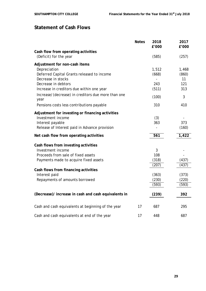# **Statement of Cash Flows**

|                                                            | <b>Notes</b> | 2018<br>£'000  | 2017<br>£'000 |
|------------------------------------------------------------|--------------|----------------|---------------|
| Cash flow from operating activities                        |              |                |               |
| (Deficit) for the year                                     |              | (585)          | (257)         |
| Adjustment for non-cash items                              |              |                |               |
| Depreciation                                               |              | 1,512          | 1,468         |
| Deferred Capital Grants released to income                 |              | (668)          | (860)         |
| Decrease in stocks                                         |              |                | 11            |
| Decrease in debtors                                        |              | 243            | 121           |
| Increase in creditors due within one year                  |              | (511)          | 313           |
| Increase/(decrease) in creditors due more than one<br>year |              | (100)          | 3             |
| Pensions costs less contributions payable                  |              | 310            | 410           |
| Adjustment for investing or financing activities           |              |                |               |
| Investment income                                          |              | (3)            |               |
| Interest payable                                           |              | 363            | 373           |
| Release of Interest paid in Advance provision              |              | $\overline{a}$ | (160)         |
| Net cash flow from operating activities                    |              | 561            | 1,422         |
| Cash flows from investing activities                       |              |                |               |
| Investment income                                          |              | 3              |               |
| Proceeds from sale of fixed assets                         |              | 108            |               |
| Payments made to acquire fixed assets                      |              | (318)          | (437)         |
|                                                            |              | (207)          | (437)         |
| Cash flows from financing activities                       |              |                |               |
| Interest paid                                              |              | (363)          | (373)         |
| Repayments of amounts borrowed                             |              | (230)          | (220)         |
|                                                            |              | (593)          | (593)         |
| (Decrease)/ increase in cash and cash equivalents in       |              | (239)          | 392           |
| Cash and cash equivalents at beginning of the year         | 17           | 687            | 295           |
| Cash and cash equivalents at end of the year               | 17           | 448            | 687           |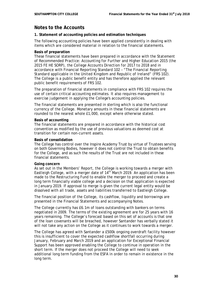# **Notes to the Accounts**

# **1. Statement of accounting policies and estimation techniques**

The following accounting policies have been applied consistently in dealing with items which are considered material in relation to the financial statements.

# **Basis of preparation**

These financial statements have been prepared in accordance with the *Statement of Recommended Practice: Accounting for Further and Higher Education 2015* (the 2015 FE HE SORP), the *College Accounts Direction for 2017 to 2018* and in accordance with Financial Reporting Standard 102 – *"The Financial Reporting Standard applicable in the United Kingdom and Republic of Ireland"* (FRS 102). The College is a public benefit entity and has therefore applied the relevant public benefit requirements of FRS 102.

The preparation of financial statements in compliance with FRS 102 requires the use of certain critical accounting estimates. It also requires management to exercise judgement in applying the College's accounting policies.

The financial statements are presented in sterling which is also the functional currency of the College. Monetary amounts in these financial statements are rounded to the nearest whole £1,000, except where otherwise stated.

# **Basis of accounting**

The financial statements are prepared in accordance with the historical cost convention as modified by the use of previous valuations as deemed cost at transition for certain non-current assets.

# **Basis of consolidation**

The College has control over the Inspire Academy Trust by virtue of Trustees serving on both Governing Bodies, however it does not control the Trust to obtain benefits for the College, and as such the results of the Trust are not included in these financial statements.

### **Going concern**

As set out in the Members' Report, the College is working towards a merger with Eastleigh College, with a merger date of 14<sup>th</sup> March 2019. An application has been made to the Restructuring Fund to enable the merger to proceed and create a long term financially viable college and a decision on that application is expected in January 2019. If approval to merge is given the current legal entity would be dissolved with all trade, assets and liabilities transferred to Eastleigh College.

The financial position of the College, its cashflow, liquidity and borrowings are presented in the Financial Statements and accompanying Notes.

The College currently has £6.1m of loans outstanding with bankers on terms negotiated in 2009. The terms of the existing agreement are for 25 years with 16 years remaining. The College's forecast based on this set of accounts is that one of the loan covenants will be breached, however Santander has verbally stated it will not take any action on the College as it continues to work towards a merger.

The College has agreed with Santander a £500k ongoing overdraft facility however this is insufficient to cover the expected cashflow shortfall occurring during January, February and March 2019 and an application for Exceptional Financial Support has been approved enabling the College to continue in operation in the short term. If the merger does not proceed the College will need to seek additional long term funding from the ESFA in order to remain in existence in the long term.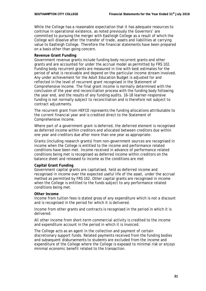While the College has a reasonable expectation that it has adequate resources to continue in operational existence, as noted previously the Governors' are committed to pursuing the merger with Eastleigh College as a result of which the College will dissolve after the transfer of trade, assets and liabilities at carrying value to Eastleigh College. Therefore the financial statements have been prepared on a basis other than going concern.

### **Revenue Grant Funding**

Government revenue grants include funding body recurrent grants and other grants and are accounted for under the accrual model as permitted by FRS 102. Funding body recurrent grants are measured in line with best estimates for the period of what is receivable and depend on the particular income stream involved. Any under achievement for the Adult Education Budget is adjusted for and reflected in the level of recurrent grant recognised in the Statement of Comprehensive Income. The final grant income is normally determined with the conclusion of the year end reconciliation process with the funding body following the year end, and the results of any funding audits. 16-18 learner-responsive funding is not normally subject to reconciliation and is therefore not subject to contract adjustments.

The recurrent grant from HEFCE represents the funding allocations attributable to the current financial year and is credited direct to the Statement of Comprehensive Income.

Where part of a government grant is deferred, the deferred element is recognised as deferred income within creditors and allocated between creditors due within one year and creditors due after more than one year as appropriate.

Grants (including research grants) from non-government sources are recognised in income when the College is entitled to the income and performance related conditions have been met. Income received in advance of performance related conditions being met is recognised as deferred income within creditors on the balance sheet and released to income as the conditions are met

# **Capital Grant Funding**

Government capital grants are capitalised, held as deferred income and recognised in income over the expected useful life of the asset, under the accrual method as permitted by FRS 102. Other capital grants are recognised in income when the College is entitled to the funds subject to any performance related conditions being met.

### **Other Income**

Income from tuition fees is stated gross of any expenditure which is not a discount and is recognised in the period for which it is delivered.

Income from other grants and contracts is recognised in the period in which it is delivered.

All other income from short-term commercial activity is credited to the income and expenditure account in the period in which it is invoiced.

The College acts as an agent in the collection and payment of certain discretionary support funds. Related payments received from the funding bodies and subsequent disbursements to students are excluded from the income and expenditure of the College where the College is exposed to minimal risk or enjoys minimal economic benefit related to the transaction.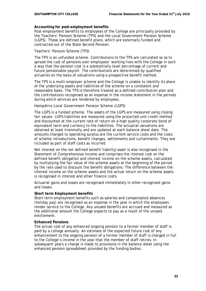# **Accounting for post-employment benefits**

Post-employment benefits to employees of the College are principally provided by the Teachers' Pension Scheme (TPS) and the Local Government Pension Scheme (LGPS). These are defined benefit plans, which are externally funded and contracted out of the State Second Pension.

# *Teachers' Pension Scheme (TPS)*

The TPS is an unfunded scheme. Contributions to the TPS are calculated so as to spread the cost of pensions over employees' working lives with the College in such a way that the pension cost is a substantially level percentage of current and future pensionable payroll. The contributions are determined by qualified actuaries on the basis of valuations using a prospective benefit method.

The TPS is a multi-employer scheme and the College is unable to identify its share of the underlying assets and liabilities of the scheme on a consistent and reasonable basis. The TPS is therefore treated as a defined contribution plan and the contributions recognised as an expense in the income statement in the periods during which services are rendered by employees.

# *Hampshire Local Government Pension Scheme (LGPS)*

The LGPS is a funded scheme. The assets of the LGPS are measured using closing fair values. LGPS liabilities are measured using the projected unit credit method and discounted at the current rate of return on a high quality corporate bond of equivalent term and currency to the liabilities. The actuarial valuations are obtained at least triennially and are updated at each balance sheet date. The amounts charged to operating surplus are the current service costs and the costs of scheme introductions, benefit changes, settlements and curtailments. They are included as part of staff costs as incurred.

Net interest on the net defined benefit liability/asset is also recognised in the Statement of Comprehensive Income and comprises the interest cost on the defined benefit obligation and interest income on the scheme assets, calculated by multiplying the fair value of the scheme assets at the beginning of the period by the rate used to discount the benefit obligations. The difference between the interest income on the scheme assets and the actual return on the scheme assets is recognised in interest and other finance costs.

Actuarial gains and losses are recognised immediately in other recognised gains and losses.

### **Short term Employment benefits**

Short term employment benefits such as salaries and compensated absences (holiday pay) are recognised as an expense in the year in which the employees render service to the College. Any unused benefits are accrued and measured as the additional amount the College expects to pay as a result of the unused entitlement.

### **Enhanced Pensions**

The actual cost of any enhanced ongoing pension to a former member of staff is paid by a college annually. An estimate of the expected future cost of any enhancement to the ongoing pension of a former member of staff is charged in full to the College's income in the year that the member of staff retires. In subsequent years a charge is made to provisions in the balance sheet using the enhanced pension spreadsheet provided by the funding bodies.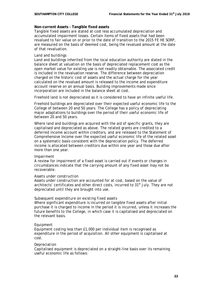# **Non-current Assets - Tangible fixed assets**

Tangible fixed assets are stated at cost less accumulated depreciation and accumulated impairment losses. Certain items of fixed assets that had been revalued to fair value on or prior to the date of transition to the 2015 FE HE SORP, are measured on the basis of deemed cost, being the revalued amount at the date of that revaluation.

# *Land and buildings*

Land and buildings inherited from the local education authority are stated in the balance sheet at valuation on the basis of depreciated replacement cost as the open market value for existing use is not readily obtainable. The associated credit is included in the revaluation reserve. The difference between depreciation charged on the historic cost of assets and the actual charge for the year calculated on the revalued amount is released to the income and expenditure account reserve on an annual basis. Building improvements made since incorporation are included in the balance sheet at cost.

Freehold land is not depreciated as it is considered to have an infinite useful life.

Freehold buildings are depreciated over their expected useful economic life to the College of between 20 and 50 years. The College has a policy of depreciating major adaptations to buildings over the period of their useful economic life of between 20 and 50 years.

Where land and buildings are acquired with the aid of specific grants, they are capitalised and depreciated as above. The related grants are credited to a deferred income account within creditors, and are released to the Statement of Comprehensive Income over the expected useful economic life of the related asset on a systematic basis consistent with the depreciation policy. The deferred income is allocated between creditors due within one year and those due after more than one year.

### *Impairment*

A review for impairment of a fixed asset is carried out if events or changes in circumstances indicate that the carrying amount of any fixed asset may not be recoverable.

### *Assets under construction*

Assets under construction are accounted for at cost, based on the value of architects' certificates and other direct costs, incurred to 31<sup>st</sup> July. They are not depreciated until they are brought into use.

# *Subsequent expenditure on existing fixed assets*

Where significant expenditure is incurred on tangible fixed assets after initial purchase it is charged to income in the period it is incurred, unless it increases the future benefits to the College, in which case it is capitalised and depreciated on the relevant basis.

# *Equipment*

Equipment costing less than £1,000 per individual item is recognised as expenditure in the period of acquisition. All other equipment is capitalised at cost.

# *Depreciation*

Capitalised equipment is depreciated on a straight-line basis over its remaining useful economic life as follows: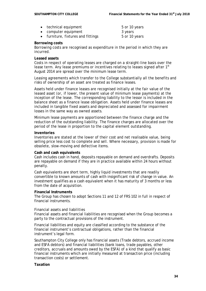- technical equipment 5 or 10 years examplement computer equipment 3 years
- furniture, fixtures and fittings 6 and  $5$  or 10 years

# **Borrowing costs**

Borrowing costs are recognised as expenditure in the period in which they are incurred.

# **Leased assets**

Costs in respect of operating leases are charged on a straight-line basis over the lease term. Any lease premiums or incentives relating to leases signed after 1<sup>st</sup> August 2014 are spread over the minimum lease term.

Leasing agreements which transfer to the College substantially all the benefits and risks of ownership of an asset are treated as finance leases.

Assets held under finance leases are recognised initially at the fair value of the leased asset (or, if lower, the present value of minimum lease payments) at the inception of the lease. The corresponding liability to the lessor is included in the balance sheet as a finance lease obligation. Assets held under finance leases are included in tangible fixed assets and depreciated and assessed for impairment losses in the same way as owned assets.

Minimum lease payments are apportioned between the finance charge and the reduction of the outstanding liability. The finance charges are allocated over the period of the lease in proportion to the capital element outstanding.

# **Inventories**

Inventories are stated at the lower of their cost and net realisable value, being selling price less cost to complete and sell. Where necessary, provision is made for obsolete, slow-moving and defective items.

# **Cash and cash equivalents**

Cash includes cash in hand, deposits repayable on demand and overdrafts. Deposits are repayable on demand if they are in practice available within 24 hours without penalty.

Cash equivalents are short term, highly liquid investments that are readily convertible to known amounts of cash with insignificant risk of change in value. An investment qualifies as a cash equivalent when it has maturity of 3 months or less from the date of acquisition.

# **Financial Instruments**

The Group has chosen to adopt Sections 11 and 12 of FRS 102 in full in respect of financial instruments.

# *Financial assets and liabilities*

Financial assets and financial liabilities are recognised when the Group becomes a party to the contractual provisions of the instrument.

Financial liabilities and equity are classified according to the substance of the financial instrument's contractual obligations, rather than the financial instrument's legal form.

Southampton City College only has financial assets (Trade debtors, accrued income and ESFA debtors) and financial liabilities (bank loans, trade payables, other creditors, accruals and amounts owed by the ESFA) of a kind that qualify as basic financial instruments which are initially measured at transaction price (including transaction costs) or settlement.

# **Taxation**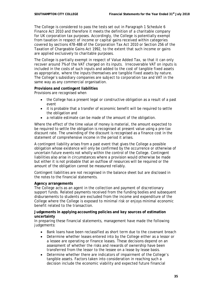The College is considered to pass the tests set out in Paragraph 1 Schedule 6 Finance Act 2010 and therefore it meets the definition of a charitable company for UK corporation tax purposes. Accordingly, the College is potentially exempt from taxation in respect of income or capital gains received within categories covered by sections 478-488 of the Corporation Tax Act 2010 or Section 256 of the Taxation of Chargeable Gains Act 1992, to the extent that such income or gains are applied exclusively to charitable purposes.

The College is partially exempt in respect of Value Added Tax, so that it can only recover around 7% of the VAT charged on its inputs. Irrecoverable VAT on inputs is included in the costs of such inputs and added to the cost of tangible fixed assets as appropriate, where the inputs themselves are tangible fixed assets by nature. The College's subsidiary companies are subject to corporation tax and VAT in the same way as any commercial organisation.

# **Provisions and contingent liabilities**

Provisions are recognised when

- the College has a present legal or constructive obligation as a result of a past event
- it is probable that a transfer of economic benefit will be required to settle the obligation and
- a reliable estimate can be made of the amount of the obligation.

Where the effect of the time value of money is material, the amount expected to be required to settle the obligation is recognised at present value using a pre-tax discount rate. The unwinding of the discount is recognised as a finance cost in the statement of comprehensive income in the period it arises.

A contingent liability arises from a past event that gives the College a possible obligation whose existence will only be confirmed by the occurrence or otherwise of uncertain future events not wholly within the control of the College. Contingent liabilities also arise in circumstances where a provision would otherwise be made but either it is not probable that an outflow of resources will be required or the amount of the obligation cannot be measured reliably.

Contingent liabilities are not recognised in the balance sheet but are disclosed in the notes to the financial statements.

### **Agency arrangements**

The College acts as an agent in the collection and payment of discretionary support funds. Related payments received from the funding bodies and subsequent disbursements to students are excluded from the income and expenditure of the College where the College is exposed to minimal risk or enjoys minimal economic benefit related to the transaction.

# **Judgements in applying accounting policies and key sources of estimation uncertainty**

In preparing these financial statements, management have made the following judgements:

- Bank loans have been reclassified as short term due to the covenant breach
- Determine whether leases entered into by the College either as a lessor or a lessee are operating or finance leases. These decisions depend on an assessment of whether the risks and rewards of ownership have been transferred from the lessor to the lessee on a lease by lease basis.
- Determine whether there are indicators of impairment of the College's tangible assets. Factors taken into consideration in reaching such a decision include the economic viability and expected future financial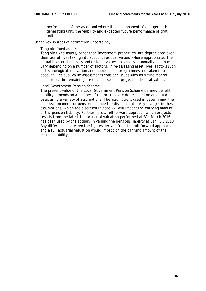performance of the asset and where it is a component of a larger cashgenerating unit, the viability and expected future performance of that unit.

### *Other key sources of estimation uncertainty*

#### *Tangible fixed assets*

Tangible fixed assets, other than investment properties, are depreciated over their useful lives taking into account residual values, where appropriate. The actual lives of the assets and residual values are assessed annually and may vary depending on a number of factors. In re-assessing asset lives, factors such as technological innovation and maintenance programmes are taken into account. Residual value assessments consider issues such as future market conditions, the remaining life of the asset and projected disposal values.

# *Local Government Pension Scheme*

The present value of the Local Government Pension Scheme defined benefit liability depends on a number of factors that are determined on an actuarial basis using a variety of assumptions. The assumptions used in determining the net cost (income) for pensions include the discount rate. Any changes in these assumptions, which are disclosed in note 22, will impact the carrying amount of the pension liability. Furthermore a roll forward approach which projects results from the latest full actuarial valuation performed at 31<sup>st</sup> March 2016 has been used by the actuary in valuing the pensions liability at  $31<sup>st</sup>$  July 2018. Any differences between the figures derived from the roll forward approach and a full actuarial valuation would impact on the carrying amount of the pension liability.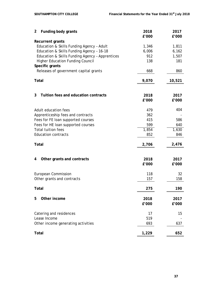| $\overline{2}$ | Funding body grants                             | 2018<br>£'000 | 2017<br>£'000 |
|----------------|-------------------------------------------------|---------------|---------------|
|                | <b>Recurrent grants</b>                         |               |               |
|                | Education & Skills Funding Agency - Adult       | 1,346         | 1,811         |
|                | Education & Skills Funding Agency - 16-18       | 6,006         | 6,162         |
|                | Education & Skills Funding Agency - Apprentices | 912           | 1,507         |
|                | <b>Higher Education Funding Council</b>         | 138           | 181           |
|                | Specific grants                                 |               |               |
|                | Releases of government capital grants           | 668           | 860           |
| Total          |                                                 | 9,070         | 10,521        |
|                |                                                 |               |               |
| 3              | Tuition fees and education contracts            | 2018          | 2017          |
|                |                                                 | £'000         | £'000         |
|                | Adult education fees                            | 479           | 404           |
|                | Apprenticeship fees and contracts               | 362           |               |
|                | Fees for FE loan supported courses              | 415           | 586           |
|                | Fees for HE loan supported courses              | 599           | 640           |
|                | <b>Total tuition fees</b>                       | 1,854         | 1,630         |
|                | <b>Education contracts</b>                      | 852           | 846           |
| Total          |                                                 | 2,706         | 2,476         |
| 4              | Other grants and contracts                      | 2018          | 2017          |
|                |                                                 | £'000         | £'000         |
|                | <b>European Commission</b>                      | 118           | 32            |
|                | Other grants and contracts                      | 157           | 158           |
| <b>Total</b>   |                                                 | 275           | 190           |
| 5              | Other income                                    | 2018          | 2017          |
|                |                                                 | £'000         | £'000         |
|                | Catering and residences                         | 17            | 15            |
|                | Lease Income                                    | 519           |               |
|                | Other income generating activities              | 693           | 637           |
| <b>Total</b>   |                                                 | 1,229         | 652           |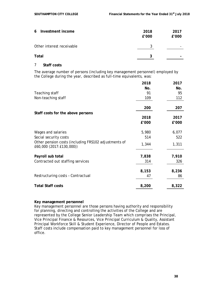| 6 Investment income       | 2018<br>£'000 | 2017<br>£'000 |
|---------------------------|---------------|---------------|
| Other interest receivable | 3             |               |
| Total                     | 3             |               |

# 7 **Staff costs**

The average number of persons (including key management personnel) employed by the College during the year, described as full-time equivalents, was:

|                                                                                  | 2018  | 2017  |
|----------------------------------------------------------------------------------|-------|-------|
|                                                                                  | No.   | No.   |
| Teaching staff                                                                   | 91    | 95    |
| Non-teaching staff                                                               | 109   | 112   |
|                                                                                  | 200   | 207   |
| Staff costs for the above persons                                                |       |       |
|                                                                                  | 2018  | 2017  |
|                                                                                  | £'000 | £'000 |
| Wages and salaries                                                               | 5,980 | 6,077 |
| Social security costs                                                            | 514   | 522   |
| Other pension costs (including FRS102 adjustments of<br>£60,000 (2017:£130,000)) | 1,344 | 1,311 |
| Payroll sub total                                                                | 7,838 | 7,910 |
|                                                                                  |       |       |
| Contracted out staffing services                                                 | 314   | 326   |
|                                                                                  | 8,153 | 8,236 |
| Restructuring costs - Contractual                                                | 47    | 86    |
| <b>Total Staff costs</b>                                                         | 8,200 | 8,322 |

# **Key management personnel**

Key management personnel are those persons having authority and responsibility for planning, directing and controlling the activities of the College and are represented by the College Senior Leadership Team which comprises the Principal, Vice Principal Finance & Resources, Vice Principal Curriculum & Quality, Assistant Principal Workforce Skill & Student Experience, Director of People and Estates. Staff costs include compensation paid to key management personnel for loss of office.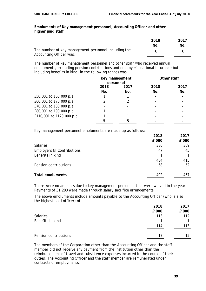### **Emoluments of Key management personnel, Accounting Officer and other higher paid staff**

|                                                                                 | 2018 | 2017 |
|---------------------------------------------------------------------------------|------|------|
|                                                                                 | No.  | No.  |
| The number of key management personnel including the<br>Accounting Officer was: |      |      |

The number of key management personnel and other staff who received annual emoluments, excluding pension contributions and employer's national insurance but including benefits in kind, in the following ranges was:

|                           | Key management<br>personnel |             | Other staff              |             |
|---------------------------|-----------------------------|-------------|--------------------------|-------------|
|                           | 2018<br>No.                 | 2017<br>No. | 2018<br>No.              | 2017<br>No. |
| £50,001 to £60,000 p.a.   |                             |             | $\overline{\phantom{a}}$ |             |
| £60,001 to £70,000 p.a.   |                             |             |                          |             |
| £70,001 to £80,000 p.a.   |                             |             |                          |             |
| £80,001 to £90,000 p.a.   |                             |             |                          |             |
| £110,001 to £120,000 p.a. |                             |             |                          |             |
|                           | 5                           | 5           |                          |             |

Key management personnel emoluments are made up as follows:

| 2018  | 2017  |
|-------|-------|
| £'000 | £'000 |
| 386   | 369   |
| 47    | 45    |
|       |       |
| 434   | 415   |
| 58    | 52    |
| 492   | 467   |
|       |       |

There were no amounts due to key management personnel that were waived in the year. Payments of £1,200 were made through salary sacrifice arrangements.

The above emoluments include amounts payable to the Accounting Officer (who is also the highest paid officer) of:

|                       | 2018  | 2017  |
|-----------------------|-------|-------|
|                       | £'000 | £'000 |
| <b>Salaries</b>       | 113   | 112   |
| Benefits in kind      |       |       |
|                       | 114   | 113   |
|                       |       |       |
| Pension contributions | 17    | 15    |

The members of the Corporation other than the Accounting Officer and the staff member did not receive any payment from the institution other than the reimbursement of travel and subsistence expenses incurred in the course of their duties. The Accounting Officer and the staff member are remunerated under contracts of employments.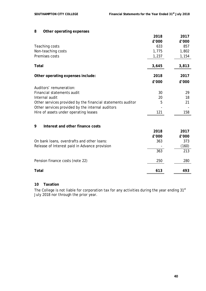# **8 Other operating expenses**

|                                                             | 2018  | 2017  |
|-------------------------------------------------------------|-------|-------|
|                                                             | £'000 | £'000 |
| Teaching costs                                              | 633   | 857   |
| Non-teaching costs                                          | 1,775 | 1,802 |
| Premises costs                                              | 1,237 | 1,154 |
| Total                                                       | 3,645 | 3,813 |
| Other operating expenses include:                           | 2018  | 2017  |
|                                                             | £'000 | £'000 |
| Auditors' remuneration:                                     |       |       |
| Financial statements audit                                  | 30    | 29    |
| Internal audit                                              | 20    | 18    |
| Other services provided by the financial statements auditor | 5     | 21    |
| Other services provided by the internal auditors            |       |       |
| Hire of assets under operating leases                       | 121   | 158   |
| 9<br>Interest and other finance costs                       |       |       |
|                                                             | 2018  | 2017  |
|                                                             | £'000 | £'000 |
| On bank loans, overdrafts and other loans:                  | 363   | 373   |
| Release of Interest paid in Advance provision               |       | (160) |
|                                                             | 363   | 213   |
| Pension finance costs (note 22)                             | 250   | 280   |
| Total                                                       | 613   | 493   |

# **10 Taxation**

The College is not liable for corporation tax for any activities during the year ending 31st July 2018 nor through the prior year.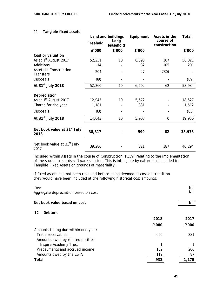|                                                   |          | Land and buildings | Equipment | Assets in the             | Total  |
|---------------------------------------------------|----------|--------------------|-----------|---------------------------|--------|
|                                                   | Freehold | Long<br>leasehold  |           | course of<br>construction |        |
|                                                   | £'000    | £'000              | £'000     |                           | £'000  |
| Cost or valuation                                 |          |                    |           |                           |        |
| As at 1 <sup>st</sup> August 2017                 | 52,231   | 10                 | 6,393     | 187                       | 58,821 |
| Additions                                         | 14       |                    | 82        | 105                       | 201    |
| <b>Assets in Construction</b><br><b>Transfers</b> | 204      |                    | 27        | (230)                     |        |
| <b>Disposals</b>                                  | (89)     |                    |           |                           | (89)   |
| At 31 <sup>st</sup> July 2018                     | 52,360   | 10                 | 6,502     | 62                        | 58,934 |
| Depreciation                                      |          |                    |           |                           |        |
| As at 1 <sup>st</sup> August 2017                 | 12,945   | 10                 | 5,572     |                           | 18,527 |
| Charge for the year                               | 1,181    |                    | 331       |                           | 1,512  |
| <b>Disposals</b>                                  | (83)     |                    |           |                           | (83)   |
| At 31 <sup>st</sup> July 2018                     | 14,043   | 10                 | 5,903     | $\overline{0}$            | 19,956 |
| Net book value at 31 <sup>st</sup> July<br>2018   | 38,317   |                    | 599       | 62                        | 38,978 |
| Net book value at 31 <sup>st</sup> July<br>2017   | 39,286   |                    | 821       | 187                       | 40,294 |

# 11 **Tangible fixed assets**

Included within Assets in the course of Construction is £59k relating to the implementation of the student records software solution. This is intangible by nature but included in Tangible Fixed Assets on grounds of materiality.

If fixed assets had not been revalued before being deemed as cost on transition they would have been included at the following historical cost amounts:

| Cost<br>Aggregate depreciation based on cost |       | Nil<br>Nil |
|----------------------------------------------|-------|------------|
| Net book value based on cost                 |       | Nil        |
| 12<br><b>Debtors</b>                         |       |            |
|                                              | 2018  | 2017       |
|                                              | £'000 | £'000      |
| Amounts falling due within one year:         |       |            |
| Trade receivables                            | 660   | 881        |
| Amounts owed by related entities:            |       |            |
| Inspire Academy Trust                        | 1     |            |
| Prepayments and accrued income               | 152   | 206        |
| Amounts owed by the ESFA                     | 119   | 87         |
| Total                                        | 932   | 1,175      |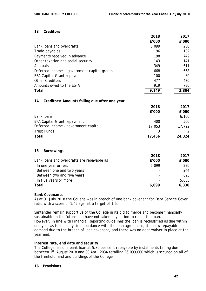# **13 Creditors**

|                                                     | 2018   | 2017   |
|-----------------------------------------------------|--------|--------|
|                                                     | £'000  | £'000  |
| Bank loans and overdrafts                           | 6,099  | 230    |
| Trade payables                                      | 196    | 132    |
| Payments received in advance                        | 198    | 742    |
| Other taxation and social security                  | 143    | 141    |
| Accruals                                            | 349    | 611    |
| Deferred income - government capital grants         | 668    | 668    |
| <b>EFA Capital Grant repayment</b>                  | 100    | 80     |
| <b>Other Creditors</b>                              | 477    | 470    |
| Amounts owed to the ESFA                            | 919    | 730    |
| Total                                               | 9,149  | 3,804  |
|                                                     |        |        |
| 14<br>Creditors: Amounts falling due after one year |        |        |
|                                                     | 2018   | 2017   |
|                                                     | £'000  | £'000  |
| <b>Bank loans</b>                                   |        | 6,100  |
| EFA Capital Grant repayment                         | 400    | 500    |
| Deferred income - government capital                | 17,053 | 17,722 |
| <b>Trust Funds</b>                                  |        | 2      |
| <b>Total</b>                                        | 17,456 | 24,324 |
|                                                     |        |        |
| 15<br><b>Borrowings</b>                             |        |        |
|                                                     | 2018   | 2017   |
| Bank loans and overdrafts are repayable as          | £'000  | £'000  |
| In one year or less                                 | 6,099  | 230    |
| Between one and two years                           |        | 244    |
| Between two and five years                          |        | 823    |
| In five years or more                               |        | 5,033  |
| Total                                               | 6,099  | 6,330  |

# **Bank Covenants**

As at 31 July 2018 the College was in breach of one bank covenant for Debt Service Cover ratio with a score of 1.42 against a target of 1.5.

Santander remain supportive of the College in its bid to merge and become financially sustainable in the future and have not taken any action to recall the loan. However, in line with Financial Reporting guidelines the loan is reclassified as due within one year as technically, in accordance with the loan agreement, it is now repayable on demand due to the breach of loan covenant, and there was no debt waiver in place at the year end.

# **Interest rate, end date and security**

The College has one bank loan at 5.80 per cent repayable by instalments falling due between 1<sup>st</sup> August 2018 and 30 April 2034 totalling £6,099,000 which is secured on all of the freehold land and buildings of the College

# **16 Provisions**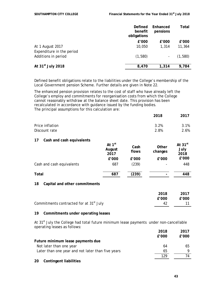|                               | Defined<br>benefit<br>obligations | Enhanced<br>pensions     | Total   |
|-------------------------------|-----------------------------------|--------------------------|---------|
|                               | £'000                             | $E'$ 000                 | £'000   |
| At 1 August 2017              | 10,050                            | 1,314                    | 11,364  |
| Expenditure in the period     |                                   |                          |         |
| Additions in period           | (1,580)                           | $\overline{\phantom{a}}$ | (1,580) |
| At 31 <sup>st</sup> July 2018 | 8,470                             | 1,314                    | 9,784   |
|                               |                                   |                          |         |

Defined benefit obligations relate to the liabilities under the College's membership of the Local Government pension Scheme. Further details are given in Note 22.

The enhanced pension provision relates to the cost of staff who have already left the College's employ and commitments for reorganisation costs from which the College cannot reasonably withdraw at the balance sheet date. This provision has been recalculated in accordance with guidance issued by the funding bodies. The principal assumptions for this calculation are:

| <b>2010</b> | 20 I L |
|-------------|--------|
| 3.2%        | 3.1%   |
| 2.8%        | 2.6%   |
|             |        |

# **17 Cash and cash equivalents**

|                           | At $1st$<br>August<br>2017 | Cash<br>flows | Other<br>changes | At $31^{st}$<br>July<br>2018 |
|---------------------------|----------------------------|---------------|------------------|------------------------------|
|                           | £'000                      | £'000         | £'000            | £'000                        |
| Cash and cash equivalents | 687                        | (239)         |                  | 448                          |
| <b>Total</b>              | 687                        | (239)         |                  | 448                          |

# **18 Capital and other commitments**

|                                                     | 2018  | 2017  |
|-----------------------------------------------------|-------|-------|
|                                                     | f'000 | f'000 |
| Commitments contracted for at 31 <sup>st</sup> July |       | -11-  |

### **19 Commitments under operating leases**

At  $31<sup>st</sup>$  July the College had total future minimum lease payments under non-cancellable operating leases as follows:

|                                                   | 2018  | 2017  |
|---------------------------------------------------|-------|-------|
|                                                   | f'000 | f'000 |
| Future minimum lease payments due                 |       |       |
| Not later than one year                           | 64    | 65    |
| Later than one year and not later than five years | 65    | Q     |
|                                                   | 129   | 74    |
| <b>Contingent liabilities</b><br>20               |       |       |

**2018 2017**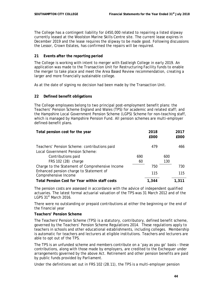The College has a contingent liability for £450,000 related to repairing a listed slipway currently leased at the Woolston Marine Skills Centre site. The current lease expires in December 2019 and the lease requires the slipway to be made good. Following discussions the Lessor, Crown Estates, has confirmed the repairs will be required.

# **21 Events after the reporting period**

The College is working with intent to merger with Eastleigh College in early 2019. An application was made to the Transaction Unit for Restructuring Facility funds to enable the merger to take place and meet the Area Based Review recommendation, creating a larger and more financially sustainable college.

As at the date of signing no decision had been made by the Transaction Unit.

# **22 Defined benefit obligations**

The College employees belong to two principal post-employment benefit plans: the Teachers' Pension Scheme England and Wales (TPS) for academic and related staff; and the Hampshire Local Government Pension Scheme (LGPS) Scheme for non-teaching staff, which is managed by Hampshire Pension Fund. All pension schemes are multi-employer defined-benefit plans.

| Total pension cost for the year                 |     | 2018<br>£000 |     | 2017<br>£000 |
|-------------------------------------------------|-----|--------------|-----|--------------|
| Teachers' Pension Scheme: contributions paid    |     | 479          |     | 466          |
| Local Government Pension Scheme:                |     |              |     |              |
| Contributions paid                              | 690 |              | 600 |              |
| FRS 102 (28) charge                             | 60  |              | 130 |              |
| Charge to the Statement of Comprehensive Income |     | 750          |     | 730          |
| Enhanced pension charge to Statement of         |     | 115          |     | 115          |
| Comprehensive Income                            |     |              |     |              |
| Total Pension Cost for Year within staff costs  |     | 1,344        |     | 1.311        |

The pension costs are assessed in accordance with the advice of independent qualified actuaries. The latest formal actuarial valuation of the TPS was 31 March 2012 and of the LGPS 31<sup>st</sup> March 2016.

There were no outstanding or prepaid contributions at either the beginning or the end of the financial year

### **Teachers' Pension Scheme**

The Teachers' Pension Scheme (TPS) is a statutory, contributory, defined benefit scheme, governed by the Teachers' Pension Scheme Regulations 2014. These regulations apply to teachers in schools and other educational establishments, including colleges. Membership is automatic for teachers and lecturers at eligible institutions. Teachers and lecturers are able to opt out of the TPS.

The TPS is an unfunded scheme and members contribute on a 'pay as you go' basis – these contributions, along with those made by employers, are credited to the Exchequer under arrangements governed by the above Act. Retirement and other pension benefits are paid by public funds provided by Parliament.

Under the definitions set out in FRS 102 (28.11), the TPS is a multi-employer pension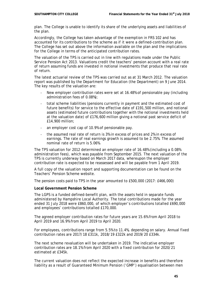plan. The College is unable to identify its share of the underlying assets and liabilities of the plan.

Accordingly, the College has taken advantage of the exemption in FRS 102 and has accounted for its contributions to the scheme as if it were a defined-contribution plan. The College has set out above the information available on the plan and the implications for the College in terms of the anticipated contribution rates.

The valuation of the TPS is carried out in line with regulations made under the Public Service Pension Act 2013. Valuations credit the teachers' pension account with a real rate of return assuming funds are invested in notional investments that produce that real rate of return.

The latest actuarial review of the TPS was carried out as at 31 March 2012. The valuation report was published by the Department for Education (the Department) on 9 June 2014. The key results of the valuation are:

- New employer contribution rates were set at 16.48% of pensionable pay (including administration fees of 0.08%);
- total scheme liabilities (pensions currently in payment and the estimated cost of future benefits) for service to the effective date of £191,500 million, and notional assets (estimated future contributions together with the notional investments held at the valuation date) of £176,600 million giving a notional past service deficit of £14,900 million;
- an employer cost cap of 10.9% of pensionable pay.
- the assumed real rate of return is 3% in excess of prices and 2% in excess of earnings. The rate of real earnings growth is assumed to be 2.75%. The assumed nominal rate of return is 5.06%.

The TPS valuation for 2012 determined an employer rate of 16.48% (including a 0.08% administration fees), which was payable from September 2015. The next valuation of the TPS is currently underway based on March 2017 data, whereupon the employer contribution rate is expected to be reassessed and will be payable from 1 April 2019.

A full copy of the valuation report and supporting documentation can be found on the Teachers' Pension Scheme website.

The pension costs paid to TPS in the year amounted to £500,000 (2017: £466,000)

### **Local Government Pension Scheme**

The LGPS is a funded defined-benefit plan, with the assets held in separate funds administered by Hampshire Local Authority. The total contributions made for the year ended 31 July 2018 were £860,000, of which employer's contributions totalled £690,000 and employees' contributions totalled £170,000.

The agreed employer contribution rates for future years are 15.6% from April 2018 to April 2019 and 16.9% from April 2019 to April 2020.

For employees, contributions range from 5.5% to 11.4%, depending on salary. Annual fixed contribution rates are 2017/18 £311k, 2018/19 £322k and 2019/20 £334k.

The next scheme revaluation will be undertaken in 2019. The indicative employer contribution rates are 18.1% from April 2020 with a fixed contribution for 2020/21 estimated at £345k.

The current valuation does not reflect the expected increase in benefits and therefore liability as a result of Guaranteed Minimum Pension ('GMP') equalisation between men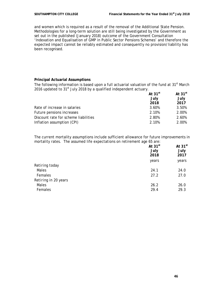and women which is required as a result of the removal of the Additional State Pension. Methodologies for a long-term solution are still being investigated by the Government as set out in the published (January 2018) outcome of the Government Consultation 'Indexation and Equalisation of GMP in Public Sector Pensions Schemes' and therefore the expected impact cannot be reliably estimated and consequently no provision/liability has been recognised.

# **Principal Actuarial Assumptions**

The following information is based upon a full actuarial valuation of the fund at 31<sup>st</sup> March 2016 updated to  $31<sup>st</sup>$  July 2018 by a qualified independent actuary.

|                                      | At $31^{st}$ | At $31st$ |
|--------------------------------------|--------------|-----------|
|                                      | July         | July      |
|                                      | 2018         | 2017      |
| Rate of increase in salaries         | 3.60%        | 3.50%     |
| Future pensions increases            | 2.10%        | 2.00%     |
| Discount rate for scheme liabilities | 2.80%        | 2.60%     |
| Inflation assumption (CPI)           | 2.10%        | 2.00%     |

The current mortality assumptions include sufficient allowance for future improvements in mortality rates. The assumed life expectations on retirement age 65 are:

|                      | At $31^{st}$<br>July<br>2018 | At $31st$<br>July<br>2017 |
|----------------------|------------------------------|---------------------------|
|                      | years                        | years                     |
| Retiring today       |                              |                           |
| Males                | 24.1                         | 24.0                      |
| Females              | 27.2                         | 27.0                      |
| Retiring in 20 years |                              |                           |
| Males                | 26.2                         | 26.0                      |
| Females              | 29.4                         | 29.3                      |
|                      |                              |                           |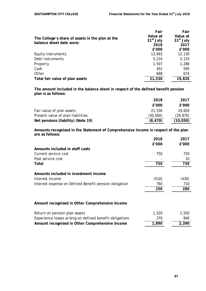|                                                                              | Fair        | Fair        |
|------------------------------------------------------------------------------|-------------|-------------|
|                                                                              | Value at    | Value at    |
| The College's share of assets in the plan at the<br>balance sheet date were: | $31st$ July | $31st$ July |
|                                                                              | 2018        | 2017        |
|                                                                              | $E'$ 000    | £'000       |
| Equity instruments                                                           | 13,693      | 12,130      |
| Debt instruments                                                             | 5,210       | 5,133       |
| Property                                                                     | 1,507       | 1,288       |
| Cash                                                                         | 452         | 595         |
| Other                                                                        | 668         | 674         |
| Total fair value of plan assets                                              | 21,530      | 19,820      |

**The amount included in the balance sheet in respect of the defined benefit pension plan is as follows:**

|                                    | 2018     | 2017      |
|------------------------------------|----------|-----------|
|                                    | f'000    | f'000     |
| Fair value of plan assets          | 21,530   | 19,820    |
| Present value of plan liabilities  | (30,000) | (29, 870) |
| Net pensions (liability) (Note 19) | (8, 470) | (10, 050) |

**Amounts recognised in the Statement of Comprehensive Income in respect of the plan are as follows: 2018 2017**

|                                                          | 2018  | 20T / |
|----------------------------------------------------------|-------|-------|
|                                                          | £'000 | £'000 |
| Amounts included in staff costs                          |       |       |
| Current service cost                                     | 750   | 720   |
| Past service cost                                        |       | 10    |
| Total                                                    | 750   | 730   |
| Amounts included in investment income                    |       |       |
| Interest income                                          | (510) | (430) |
| Interest expense on Defined Benefit pension obligation   | 760   | 710   |
|                                                          | 250   | 280   |
|                                                          |       |       |
| Amount recognised in Other Comprehensive Income          |       |       |
| Return on pension plan assets                            | 1,520 | 1,550 |
| Experience losses arising on defined benefit obligations | 370   | 840   |
| Amount recognised in Other Comprehensive Income          | 1,890 | 2,390 |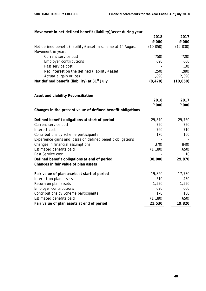| Movement in net defined benefit (liability)/asset during year                                  |           |           |
|------------------------------------------------------------------------------------------------|-----------|-----------|
|                                                                                                | 2018      | 2017      |
|                                                                                                | £'000     | £'000     |
| Net defined benefit (liability)/asset in scheme at 1 <sup>st</sup> August<br>Movement in year: | (10, 050) | (12, 030) |
| Current service cost                                                                           | (750)     | (720)     |
| <b>Employer contributions</b>                                                                  | 690       | 600       |
| Past service cost                                                                              |           | (10)      |
| Net interest on the defined (liability)/asset                                                  | (250)     | (280)     |
| Actuarial gain or loss                                                                         | 1,890     | 2,390     |
| Net defined benefit (liability) at 31 <sup>st</sup> July                                       | (8, 470)  | (10, 050) |
|                                                                                                |           |           |
| <b>Asset and Liability Reconciliation</b>                                                      |           |           |
|                                                                                                | 2018      | 2017      |
|                                                                                                | £'000     | £'000     |
| Changes in the present value of defined benefit obligations                                    |           |           |
| Defined benefit obligations at start of period                                                 | 29,870    | 29,760    |
| Current service cost                                                                           | 750       | 720       |
| Interest cost                                                                                  | 760       | 710       |
| Contributions by Scheme participants                                                           | 170       | 160       |
| Experience gains and losses on defined benefit obligations                                     |           |           |
| Changes in financial assumptions                                                               | (370)     | (840)     |
| Estimated benefits paid                                                                        | (1, 180)  | (650)     |
| Past Service cost                                                                              |           | 10        |
| Defined benefit obligations at end of period                                                   | 30,000    | 29,870    |
| Changes in fair value of plan assets                                                           |           |           |
| Fair value of plan assets at start of period                                                   | 19,820    | 17,730    |
| Interest on plan assets                                                                        | 510       | 430       |
| Return on plan assets                                                                          | 1,520     | 1,550     |
| <b>Employer contributions</b>                                                                  | 690       | 600       |
| Contributions by Scheme participants                                                           | 170       | 160       |
| Estimated benefits paid                                                                        | (1, 180)  | (650)     |
| Fair value of plan assets at end of period                                                     | 21,530    | 19,820    |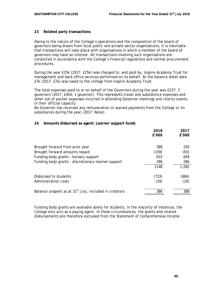# **23 Related party transactions**

Owing to the nature of the College's operations and the composition of the board of governors being drawn from local public and private sector organisations, it is inevitable that transactions will take place with organisations in which a member of the board of governors may have an interest. All transactions involving such organisations are conducted in accordance with the College's financial regulations and normal procurement procedures.

During the year £25k (2017: £25k) was charged to, and paid by, Inspire Academy Trust for management and back office services performed on its behalf. At the balance sheet date £7k (2017: £7k) was owed to the college from Inspire Academy Trust.

The total expenses paid to or on behalf of the Governors during the year was £237: 3 governors (2017: £454; 1 governor). This represents travel and subsistence expenses and other out of pocket expenses incurred in attending Governor meetings and charity events in their official capacity.

No Governor has received any remuneration or waived payments from the College or its subsidiaries during the year (2017: None).

# **24 Amounts disbursed as agent: Learner support funds**

|                                                                    | 2018<br>£'000 | 2017<br>£'000 |
|--------------------------------------------------------------------|---------------|---------------|
| Brought forward from prior year                                    | 388           | 250           |
| Brought forward amounts repaid                                     | (159)         | (93)          |
| Funding body grants - bursary support                              | 633           | 649           |
| Funding body grants - discretionary learner support                | 286           | 286           |
|                                                                    | 1148          | 1,092         |
| Disbursed to students                                              | (733)         | (684)         |
| Administration costs                                               | (29)          | (20)          |
| Balance unspent as at 31 <sup>st</sup> July, included in creditors | 386           | 388           |

Funding body grants are available solely for students. In the majority of instances, the College only acts as a paying agent. In these circumstances, the grants and related disbursements are therefore excluded from the Statement of Comprehensive Income.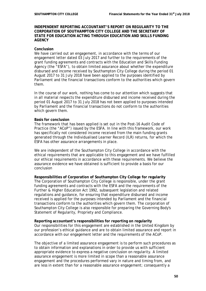# **INDEPENDENT REPORTING ACCOUNTANT'S REPORT ON REGULARITY TO THE CORPORATION OF SOUTHAMPTON CITY COLLEGE AND THE SECRETARY OF STATE FOR EDUCATION ACTING THROUGH EDUCATION AND SKILLS FUNDING AGENCY**

### **Conclusion**

We have carried out an engagement, in accordance with the terms of our engagement letter dated 03 July 2017 and further to the requirements of the grant funding agreements and contracts with the Education and Skills Funding Agency (the "ESFA"), to obtain limited assurance about whether the expenditure disbursed and income received by Southampton City College during the period 01 August 2017 to 31 July 2018 have been applied to the purposes identified by Parliament and the financial transactions conform to the authorities which govern them.

In the course of our work, nothing has come to our attention which suggests that in all material respects the expenditure disbursed and income received during the period 01 August 2017 to 31 July 2018 has not been applied to purposes intended by Parliament and the financial transactions do not conform to the authorities which govern them.

### **Basis for conclusion**

The framework that has been applied is set out in the Post-16 Audit Code of Practice (the "ACoP") issued by the ESFA. In line with this framework, our work has specifically not considered income received from the main funding grants generated through the Individualised Learner Record (ILR) returns, for which the ESFA has other assurance arrangements in place.

We are independent of the Southampton City College in accordance with the ethical requirements that are applicable to this engagement and we have fulfilled our ethical requirements in accordance with these requirements. We believe the assurance evidence we have obtained is sufficient to provide a basis for our conclusion

### **Responsibilities of Corporation of Southampton City College for regularity**

The Corporation of Southampton City College is responsible, under the grant funding agreements and contracts with the ESFA and the requirements of the Further & Higher Education Act 1992, subsequent legislation and related regulations and guidance, for ensuring that expenditure disbursed and income received is applied for the purposes intended by Parliament and the financial transactions conform to the authorities which govern them. The corporation of Southampton City College is also responsible for preparing the Governing Body's Statement of Regularity, Propriety and Compliance.

#### **Reporting accountant's responsibilities for reporting on regularity**

Our responsibilities for this engagement are established in the United Kingdom by our profession's ethical guidance and are to obtain limited assurance and report in accordance with our engagement letter and the requirements of the ACoP.

The objective of a limited assurance engagement is to perform such procedures as to obtain information and explanations in order to provide us with sufficient appropriate evidence to express a negative conclusion on regularity. A limited assurance engagement is more limited in scope than a reasonable assurance engagement and the procedures performed vary in nature and timing from, and are less in extent than for a reasonable assurance engagement; consequently a